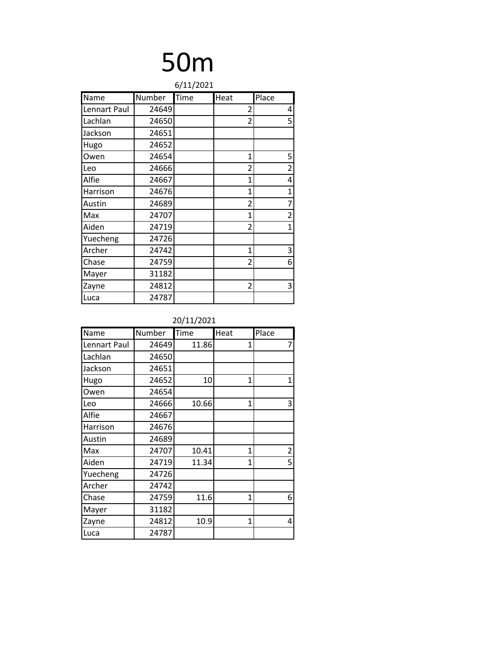| 6/11/2021    |        |      |                          |                |  |
|--------------|--------|------|--------------------------|----------------|--|
| Name         | Number | Time | Heat                     | Place          |  |
| Lennart Paul | 24649  |      | 2                        | 4              |  |
| Lachlan      | 24650  |      | $\overline{2}$           | 5              |  |
| Jackson      | 24651  |      |                          |                |  |
| Hugo         | 24652  |      |                          |                |  |
| Owen         | 24654  |      | 1                        | 5              |  |
| Leo          | 24666  |      | $\overline{\mathcal{L}}$ | $\overline{2}$ |  |
| Alfie        | 24667  |      | 1                        | 4              |  |
| Harrison     | 24676  |      | 1                        | $\mathbf 1$    |  |
| Austin       | 24689  |      | $\overline{2}$           | 7              |  |
| Max          | 24707  |      | 1                        | $\overline{2}$ |  |
| Aiden        | 24719  |      | $\overline{2}$           | $\overline{1}$ |  |
| Yuecheng     | 24726  |      |                          |                |  |
| Archer       | 24742  |      | 1                        | 3              |  |
| Chase        | 24759  |      | $\overline{2}$           | 6              |  |
| Mayer        | 31182  |      |                          |                |  |
| Zayne        | 24812  |      | $\overline{2}$           | 3              |  |
| Luca         | 24787  |      |                          |                |  |

| Name         | Number | Time  | Heat         | Place          |
|--------------|--------|-------|--------------|----------------|
| Lennart Paul | 24649  | 11.86 | 1            | 7              |
| Lachlan      | 24650  |       |              |                |
| Jackson      | 24651  |       |              |                |
| Hugo         | 24652  | 10    | 1            | 1              |
| Owen         | 24654  |       |              |                |
| Leo          | 24666  | 10.66 | 1            | 3              |
| Alfie        | 24667  |       |              |                |
| Harrison     | 24676  |       |              |                |
| Austin       | 24689  |       |              |                |
| Max          | 24707  | 10.41 | 1            | $\overline{2}$ |
| Aiden        | 24719  | 11.34 | 1            | 5              |
| Yuecheng     | 24726  |       |              |                |
| Archer       | 24742  |       |              |                |
| Chase        | 24759  | 11.6  | 1            | 6              |
| Mayer        | 31182  |       |              |                |
| Zayne        | 24812  | 10.9  | $\mathbf{1}$ | 4              |
| Luca         | 24787  |       |              |                |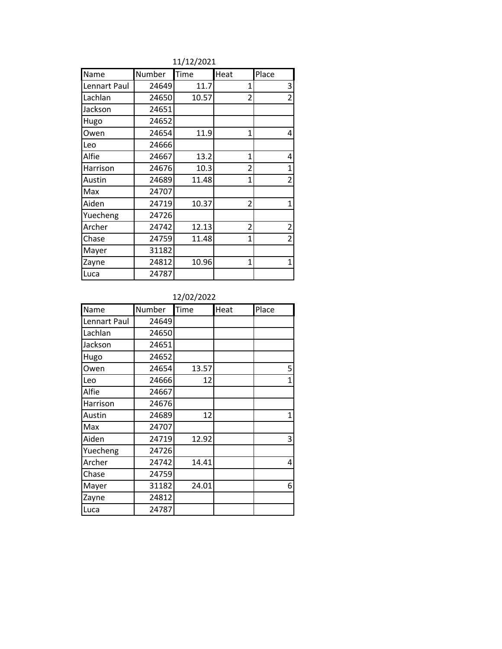| Name         | Number | Time  | Heat           | Place          |
|--------------|--------|-------|----------------|----------------|
| Lennart Paul | 24649  | 11.7  | 1              | 3              |
| Lachlan      | 24650  | 10.57 | $\overline{2}$ | $\overline{2}$ |
| Jackson      | 24651  |       |                |                |
| Hugo         | 24652  |       |                |                |
| Owen         | 24654  | 11.9  | 1              | 4              |
| Leo          | 24666  |       |                |                |
| Alfie        | 24667  | 13.2  | 1              | 4              |
| Harrison     | 24676  | 10.3  | $\overline{2}$ | $\mathbf 1$    |
| Austin       | 24689  | 11.48 | 1              | $\overline{2}$ |
| Max          | 24707  |       |                |                |
| Aiden        | 24719  | 10.37 | $\overline{2}$ | $\overline{1}$ |
| Yuecheng     | 24726  |       |                |                |
| Archer       | 24742  | 12.13 | $\overline{2}$ | $\mathbf 2$    |
| Chase        | 24759  | 11.48 | 1              | $\overline{2}$ |
| Mayer        | 31182  |       |                |                |
| Zayne        | 24812  | 10.96 | 1              | $\mathbf{1}$   |
| Luca         | 24787  |       |                |                |

11/12/2021

### 12/02/2022

| Name         | Number | Time  | Heat | Place        |
|--------------|--------|-------|------|--------------|
| Lennart Paul | 24649  |       |      |              |
| Lachlan      | 24650  |       |      |              |
| Jackson      | 24651  |       |      |              |
| Hugo         | 24652  |       |      |              |
| Owen         | 24654  | 13.57 |      | 5            |
| Leo          | 24666  | 12    |      | $\mathbf{1}$ |
| Alfie        | 24667  |       |      |              |
| Harrison     | 24676  |       |      |              |
| Austin       | 24689  | 12    |      | 1            |
| Max          | 24707  |       |      |              |
| Aiden        | 24719  | 12.92 |      | 3            |
| Yuecheng     | 24726  |       |      |              |
| Archer       | 24742  | 14.41 |      | 4            |
| Chase        | 24759  |       |      |              |
| Mayer        | 31182  | 24.01 |      | 6            |
| Zayne        | 24812  |       |      |              |
| Luca         | 24787  |       |      |              |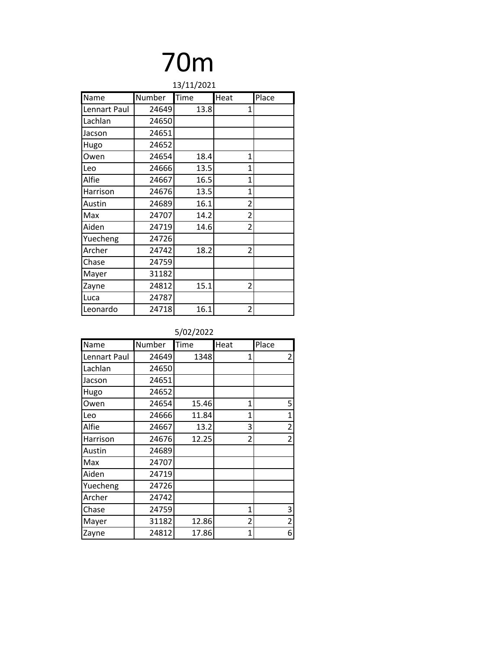| 13/11/2021   |        |      |                          |       |  |
|--------------|--------|------|--------------------------|-------|--|
| Name         | Number | Time | Heat                     | Place |  |
| Lennart Paul | 24649  | 13.8 | 1                        |       |  |
| Lachlan      | 24650  |      |                          |       |  |
| Jacson       | 24651  |      |                          |       |  |
| Hugo         | 24652  |      |                          |       |  |
| Owen         | 24654  | 18.4 | 1                        |       |  |
| Leo          | 24666  | 13.5 | 1                        |       |  |
| Alfie        | 24667  | 16.5 | 1                        |       |  |
| Harrison     | 24676  | 13.5 | 1                        |       |  |
| Austin       | 24689  | 16.1 | $\overline{2}$           |       |  |
| Max          | 24707  | 14.2 | $\overline{2}$           |       |  |
| Aiden        | 24719  | 14.6 | $\overline{\mathcal{L}}$ |       |  |
| Yuecheng     | 24726  |      |                          |       |  |
| Archer       | 24742  | 18.2 | 2                        |       |  |
| Chase        | 24759  |      |                          |       |  |
| Mayer        | 31182  |      |                          |       |  |
| Zayne        | 24812  | 15.1 | 2                        |       |  |
| Luca         | 24787  |      |                          |       |  |
| Leonardo     | 24718  | 16.1 | $\overline{2}$           |       |  |

| <b>Name</b>  | Number | Time  | Heat | Place          |
|--------------|--------|-------|------|----------------|
| Lennart Paul | 24649  | 1348  | 1    | $\overline{2}$ |
| Lachlan      | 24650  |       |      |                |
| Jacson       | 24651  |       |      |                |
| Hugo         | 24652  |       |      |                |
| Owen         | 24654  | 15.46 | 1    | 5              |
| Leo          | 24666  | 11.84 | 1    | $\overline{1}$ |
| Alfie        | 24667  | 13.2  | 3    | $\overline{2}$ |
| Harrison     | 24676  | 12.25 | 2    | $\overline{2}$ |
| Austin       | 24689  |       |      |                |
| Max          | 24707  |       |      |                |
| Aiden        | 24719  |       |      |                |
| Yuecheng     | 24726  |       |      |                |
| Archer       | 24742  |       |      |                |
| Chase        | 24759  |       | 1    | 3              |
| Mayer        | 31182  | 12.86 | 2    | $\overline{2}$ |
| Zayne        | 24812  | 17.86 | 1    | 6              |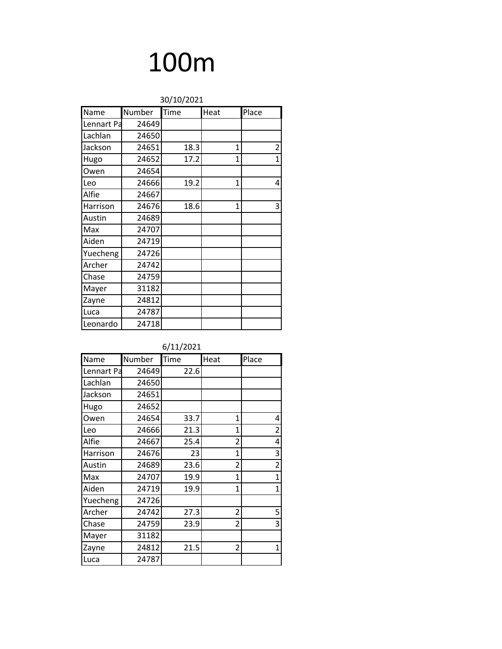| 30/10/2021 |        |      |              |       |  |
|------------|--------|------|--------------|-------|--|
| Name       | Number | Time | Heat         | Place |  |
| Lennart Pa | 24649  |      |              |       |  |
| Lachlan    | 24650  |      |              |       |  |
| Jackson    | 24651  | 18.3 | 1            | 2     |  |
| Hugo       | 24652  | 17.2 | 1            | 1     |  |
| Owen       | 24654  |      |              |       |  |
| Leo        | 24666  | 19.2 | 1            | 4     |  |
| Alfie      | 24667  |      |              |       |  |
| Harrison   | 24676  | 18.6 | $\mathbf{1}$ | 3     |  |
| Austin     | 24689  |      |              |       |  |
| Max        | 24707  |      |              |       |  |
| Aiden      | 24719  |      |              |       |  |
| Yuecheng   | 24726  |      |              |       |  |
| Archer     | 24742  |      |              |       |  |
| Chase      | 24759  |      |              |       |  |
| Mayer      | 31182  |      |              |       |  |
| Zayne      | 24812  |      |              |       |  |
| Luca       | 24787  |      |              |       |  |
| Leonardo   | 24718  |      |              |       |  |

| Name       | Number | Time | Heat | Place          |
|------------|--------|------|------|----------------|
| Lennart Pa | 24649  | 22.6 |      |                |
| Lachlan    | 24650  |      |      |                |
| Jackson    | 24651  |      |      |                |
| Hugo       | 24652  |      |      |                |
| Owen       | 24654  | 33.7 | 1    | 4              |
| Leo        | 24666  | 21.3 | 1    | $\overline{2}$ |
| Alfie      | 24667  | 25.4 | 2    | 4              |
| Harrison   | 24676  | 23   | 1    | 3              |
| Austin     | 24689  | 23.6 | 2    | $\overline{2}$ |
| Max        | 24707  | 19.9 | 1    | $\mathbf 1$    |
| Aiden      | 24719  | 19.9 | 1    | $\mathbf{1}$   |
| Yuecheng   | 24726  |      |      |                |
| Archer     | 24742  | 27.3 | 2    | 5              |
| Chase      | 24759  | 23.9 | 2    | 3              |
| Mayer      | 31182  |      |      |                |
| Zayne      | 24812  | 21.5 | 2    | 1              |
| Luca       | 24787  |      |      |                |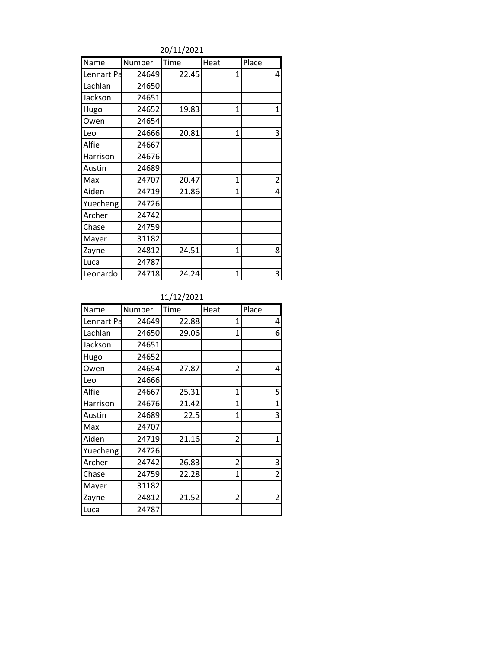20/11/2021

| Name       | Number | Time  | Heat           | Place          |
|------------|--------|-------|----------------|----------------|
| Lennart Pa | 24649  | 22.45 | 1              | 4              |
| Lachlan    | 24650  |       |                |                |
| Jackson    | 24651  |       |                |                |
| Hugo       | 24652  | 19.83 | 1              | 1              |
| Owen       | 24654  |       |                |                |
| Leo        | 24666  | 20.81 | 1              | 3              |
| Alfie      | 24667  |       |                |                |
| Harrison   | 24676  |       |                |                |
| Austin     | 24689  |       |                |                |
| Max        | 24707  | 20.47 | $\mathbf{1}$   | $\overline{2}$ |
| Aiden      | 24719  | 21.86 | 1              | 4              |
| Yuecheng   | 24726  |       |                |                |
| Archer     | 24742  |       |                |                |
| Chase      | 24759  |       |                |                |
| Mayer      | 31182  |       |                |                |
| Zayne      | 24812  | 24.51 | $\overline{1}$ | 8              |
| Luca       | 24787  |       |                |                |
| Leonardo   | 24718  | 24.24 | 1              | 3              |

#### 11/12/2021

| Name       | Number | Time  | Heat           | Place          |
|------------|--------|-------|----------------|----------------|
| Lennart Pa | 24649  | 22.88 | 1              | 4              |
| Lachlan    | 24650  | 29.06 | $\overline{1}$ | 6              |
| Jackson    | 24651  |       |                |                |
| Hugo       | 24652  |       |                |                |
| Owen       | 24654  | 27.87 | 2              | 4              |
| Leo        | 24666  |       |                |                |
| Alfie      | 24667  | 25.31 | 1              | 5              |
| Harrison   | 24676  | 21.42 | $\overline{1}$ | 1              |
| Austin     | 24689  | 22.5  | 1              | 3              |
| Max        | 24707  |       |                |                |
| Aiden      | 24719  | 21.16 | 2              | 1              |
| Yuecheng   | 24726  |       |                |                |
| Archer     | 24742  | 26.83 | $\overline{2}$ | 3              |
| Chase      | 24759  | 22.28 | 1              | $\overline{2}$ |
| Mayer      | 31182  |       |                |                |
| Zayne      | 24812  | 21.52 | 2              | 2              |
| Luca       | 24787  |       |                |                |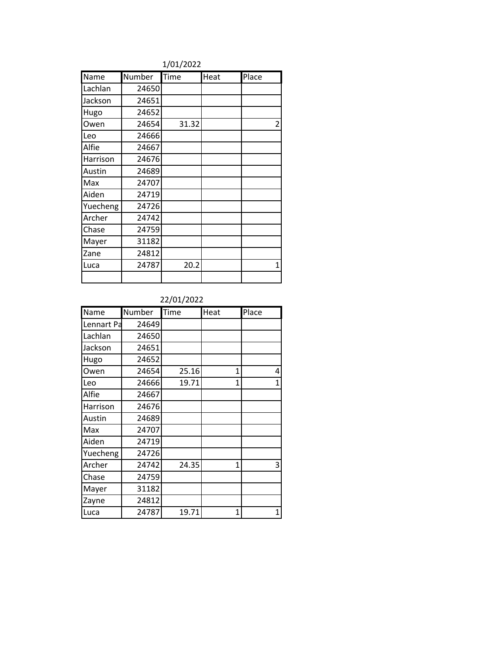### 1/01/2022

| Name     | Number | Time  | Heat | Place          |
|----------|--------|-------|------|----------------|
| Lachlan  | 24650  |       |      |                |
| Jackson  | 24651  |       |      |                |
| Hugo     | 24652  |       |      |                |
| Owen     | 24654  | 31.32 |      | $\overline{2}$ |
| Leo      | 24666  |       |      |                |
| Alfie    | 24667  |       |      |                |
| Harrison | 24676  |       |      |                |
| Austin   | 24689  |       |      |                |
| Max      | 24707  |       |      |                |
| Aiden    | 24719  |       |      |                |
| Yuecheng | 24726  |       |      |                |
| Archer   | 24742  |       |      |                |
| Chase    | 24759  |       |      |                |
| Mayer    | 31182  |       |      |                |
| Zane     | 24812  |       |      |                |
| Luca     | 24787  | 20.2  |      | 1              |
|          |        |       |      |                |

22/01/2022

| Name       | Number | Time  | Heat         | Place        |
|------------|--------|-------|--------------|--------------|
| Lennart Pa | 24649  |       |              |              |
| Lachlan    | 24650  |       |              |              |
| Jackson    | 24651  |       |              |              |
| Hugo       | 24652  |       |              |              |
| Owen       | 24654  | 25.16 | 1            | 4            |
| Leo        | 24666  | 19.71 | $\mathbf{1}$ | $\mathbf{1}$ |
| Alfie      | 24667  |       |              |              |
| Harrison   | 24676  |       |              |              |
| Austin     | 24689  |       |              |              |
| Max        | 24707  |       |              |              |
| Aiden      | 24719  |       |              |              |
| Yuecheng   | 24726  |       |              |              |
| Archer     | 24742  | 24.35 | $\mathbf{1}$ | 3            |
| Chase      | 24759  |       |              |              |
| Mayer      | 31182  |       |              |              |
| Zayne      | 24812  |       |              |              |
| Luca       | 24787  | 19.71 | $\mathbf{1}$ | 1            |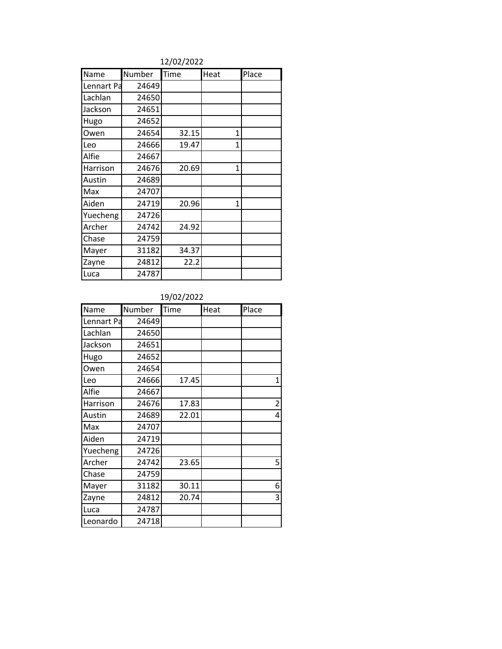#### 12/02/2022

| Name       | Number | Time  | Heat | Place |
|------------|--------|-------|------|-------|
| Lennart Pa | 24649  |       |      |       |
| Lachlan    | 24650  |       |      |       |
| Jackson    | 24651  |       |      |       |
| Hugo       | 24652  |       |      |       |
| Owen       | 24654  | 32.15 | 1    |       |
| Leo        | 24666  | 19.47 | 1    |       |
| Alfie      | 24667  |       |      |       |
| Harrison   | 24676  | 20.69 | 1    |       |
| Austin     | 24689  |       |      |       |
| Max        | 24707  |       |      |       |
| Aiden      | 24719  | 20.96 | 1    |       |
| Yuecheng   | 24726  |       |      |       |
| Archer     | 24742  | 24.92 |      |       |
| Chase      | 24759  |       |      |       |
| Mayer      | 31182  | 34.37 |      |       |
| Zayne      | 24812  | 22.2  |      |       |
| Luca       | 24787  |       |      |       |

#### 19/02/2022

| Name       | Number | Time  | Heat | Place          |
|------------|--------|-------|------|----------------|
| Lennart Pa | 24649  |       |      |                |
| Lachlan    | 24650  |       |      |                |
| Jackson    | 24651  |       |      |                |
| Hugo       | 24652  |       |      |                |
| Owen       | 24654  |       |      |                |
| Leo        | 24666  | 17.45 |      | 1              |
| Alfie      | 24667  |       |      |                |
| Harrison   | 24676  | 17.83 |      | $\overline{2}$ |
| Austin     | 24689  | 22.01 |      | 4              |
| Max        | 24707  |       |      |                |
| Aiden      | 24719  |       |      |                |
| Yuecheng   | 24726  |       |      |                |
| Archer     | 24742  | 23.65 |      | 5              |
| Chase      | 24759  |       |      |                |
| Mayer      | 31182  | 30.11 |      | 6              |
| Zayne      | 24812  | 20.74 |      | 3              |
| Luca       | 24787  |       |      |                |
| Leonardo   | 24718  |       |      |                |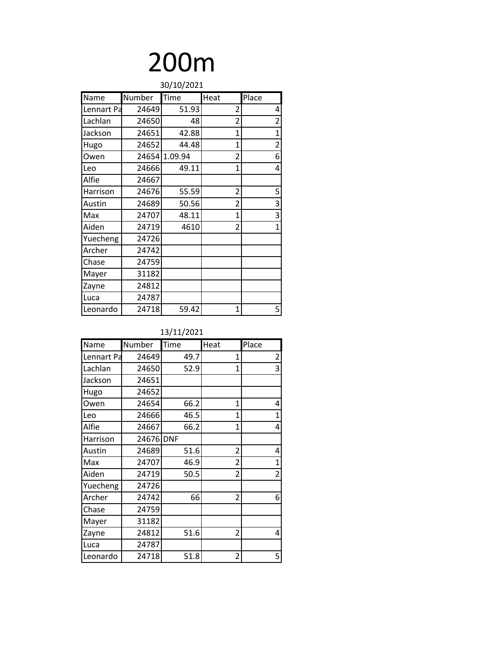|            | 30/10/2021 |         |                          |                |  |
|------------|------------|---------|--------------------------|----------------|--|
| Name       | Number     | Time    | Heat                     | Place          |  |
| Lennart Pa | 24649      | 51.93   | $\overline{2}$           | 4              |  |
| Lachlan    | 24650      | 48      | 2                        | $\overline{2}$ |  |
| Jackson    | 24651      | 42.88   | 1                        | 1              |  |
| Hugo       | 24652      | 44.48   | $\overline{1}$           | $\overline{2}$ |  |
| Owen       | 24654      | 1.09.94 | 2                        | 6              |  |
| Leo        | 24666      | 49.11   | 1                        | 4              |  |
| Alfie      | 24667      |         |                          |                |  |
| Harrison   | 24676      | 55.59   | 2                        | 5              |  |
| Austin     | 24689      | 50.56   | $\overline{2}$           | 3              |  |
| Max        | 24707      | 48.11   | 1                        | 3              |  |
| Aiden      | 24719      | 4610    | $\overline{\phantom{a}}$ | $\overline{1}$ |  |
| Yuecheng   | 24726      |         |                          |                |  |
| Archer     | 24742      |         |                          |                |  |
| Chase      | 24759      |         |                          |                |  |
| Mayer      | 31182      |         |                          |                |  |
| Zayne      | 24812      |         |                          |                |  |
| Luca       | 24787      |         |                          |                |  |
| Leonardo   | 24718      | 59.42   | 1                        | 5              |  |

| Name       | Number    | Time | Heat           | Place          |
|------------|-----------|------|----------------|----------------|
| Lennart Pa | 24649     | 49.7 | 1              | $\overline{2}$ |
| Lachlan    | 24650     | 52.9 | 1              | 3              |
| Jackson    | 24651     |      |                |                |
| Hugo       | 24652     |      |                |                |
| Owen       | 24654     | 66.2 | 1              | 4              |
| Leo        | 24666     | 46.5 | 1              | $\mathbf 1$    |
| Alfie      | 24667     | 66.2 | 1              | 4              |
| Harrison   | 24676 DNF |      |                |                |
| Austin     | 24689     | 51.6 | $\overline{2}$ | 4              |
| Max        | 24707     | 46.9 | 2              | $\mathbf 1$    |
| Aiden      | 24719     | 50.5 | 2              | $\overline{2}$ |
| Yuecheng   | 24726     |      |                |                |
| Archer     | 24742     | 66   | 2              | 6              |
| Chase      | 24759     |      |                |                |
| Mayer      | 31182     |      |                |                |
| Zayne      | 24812     | 51.6 | 2              | 4              |
| Luca       | 24787     |      |                |                |
| Leonardo   | 24718     | 51.8 | 2              | 5              |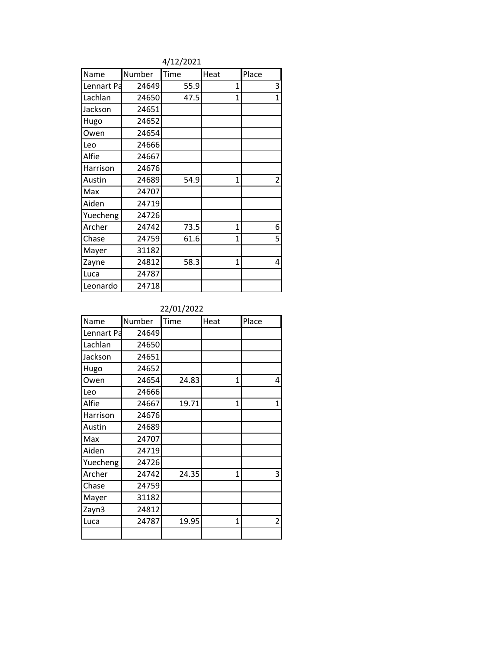4/12/2021

| Name       | Number | Time | Heat           | Place          |
|------------|--------|------|----------------|----------------|
| Lennart Pa | 24649  | 55.9 | 1              | 3              |
| Lachlan    | 24650  | 47.5 | $\overline{1}$ | $\mathbf{1}$   |
| Jackson    | 24651  |      |                |                |
| Hugo       | 24652  |      |                |                |
| Owen       | 24654  |      |                |                |
| Leo        | 24666  |      |                |                |
| Alfie      | 24667  |      |                |                |
| Harrison   | 24676  |      |                |                |
| Austin     | 24689  | 54.9 | $\mathbf{1}$   | $\overline{2}$ |
| Max        | 24707  |      |                |                |
| Aiden      | 24719  |      |                |                |
| Yuecheng   | 24726  |      |                |                |
| Archer     | 24742  | 73.5 | 1              | 6              |
| Chase      | 24759  | 61.6 | $\overline{1}$ | 5              |
| Mayer      | 31182  |      |                |                |
| Zayne      | 24812  | 58.3 | $\overline{1}$ | 4              |
| Luca       | 24787  |      |                |                |
| Leonardo   | 24718  |      |                |                |

### 22/01/2022

| Name       | Number | Time  | Heat         | Place |
|------------|--------|-------|--------------|-------|
| Lennart Pa | 24649  |       |              |       |
| Lachlan    | 24650  |       |              |       |
| Jackson    | 24651  |       |              |       |
| Hugo       | 24652  |       |              |       |
| Owen       | 24654  | 24.83 | $\mathbf{1}$ | 4     |
| Leo        | 24666  |       |              |       |
| Alfie      | 24667  | 19.71 | $\mathbf{1}$ | 1     |
| Harrison   | 24676  |       |              |       |
| Austin     | 24689  |       |              |       |
| Max        | 24707  |       |              |       |
| Aiden      | 24719  |       |              |       |
| Yuecheng   | 24726  |       |              |       |
| Archer     | 24742  | 24.35 | 1            | 3     |
| Chase      | 24759  |       |              |       |
| Mayer      | 31182  |       |              |       |
| Zayn3      | 24812  |       |              |       |
| Luca       | 24787  | 19.95 | 1            | 2     |
|            |        |       |              |       |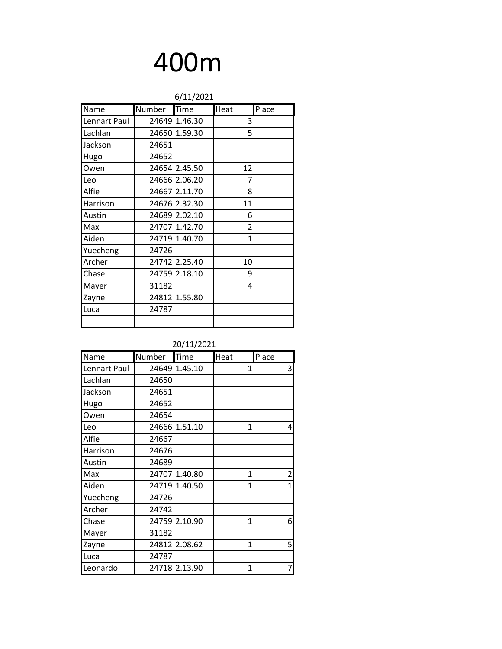|              |        |               | 6/11/2021      |       |  |  |  |
|--------------|--------|---------------|----------------|-------|--|--|--|
| Name         | Number | Time          | Heat           | Place |  |  |  |
| Lennart Paul |        | 24649 1.46.30 | 3              |       |  |  |  |
| Lachlan      |        | 24650 1.59.30 | 5              |       |  |  |  |
| Jackson      | 24651  |               |                |       |  |  |  |
| Hugo         | 24652  |               |                |       |  |  |  |
| Owen         |        | 24654 2.45.50 | 12             |       |  |  |  |
| Leo          |        | 24666 2.06.20 | 7              |       |  |  |  |
| Alfie        |        | 24667 2.11.70 | 8              |       |  |  |  |
| Harrison     |        | 24676 2.32.30 | 11             |       |  |  |  |
| Austin       |        | 24689 2.02.10 | 6              |       |  |  |  |
| Max          |        | 24707 1.42.70 | $\overline{2}$ |       |  |  |  |
| Aiden        |        | 24719 1.40.70 | 1              |       |  |  |  |
| Yuecheng     | 24726  |               |                |       |  |  |  |
| Archer       |        | 24742 2.25.40 | 10             |       |  |  |  |
| Chase        |        | 24759 2.18.10 | 9              |       |  |  |  |
| Mayer        | 31182  |               | 4              |       |  |  |  |
| Zayne        |        | 24812 1.55.80 |                |       |  |  |  |
| Luca         | 24787  |               |                |       |  |  |  |
|              |        |               |                |       |  |  |  |

| Name         | Number | Time          | Heat | Place          |
|--------------|--------|---------------|------|----------------|
| Lennart Paul |        | 24649 1.45.10 | 1    | 3              |
| Lachlan      | 24650  |               |      |                |
| Jackson      | 24651  |               |      |                |
| Hugo         | 24652  |               |      |                |
| Owen         | 24654  |               |      |                |
| Leo          |        | 24666 1.51.10 | 1    | 4              |
| Alfie        | 24667  |               |      |                |
| Harrison     | 24676  |               |      |                |
| Austin       | 24689  |               |      |                |
| Max          |        | 24707 1.40.80 | 1    | $\overline{2}$ |
| Aiden        |        | 24719 1.40.50 | 1    | $\overline{1}$ |
| Yuecheng     | 24726  |               |      |                |
| Archer       | 24742  |               |      |                |
| Chase        |        | 24759 2.10.90 | 1    | 6              |
| Mayer        | 31182  |               |      |                |
| Zayne        |        | 24812 2.08.62 | 1    | 5              |
| Luca         | 24787  |               |      |                |
| Leonardo     |        | 24718 2.13.90 | 1    | 7              |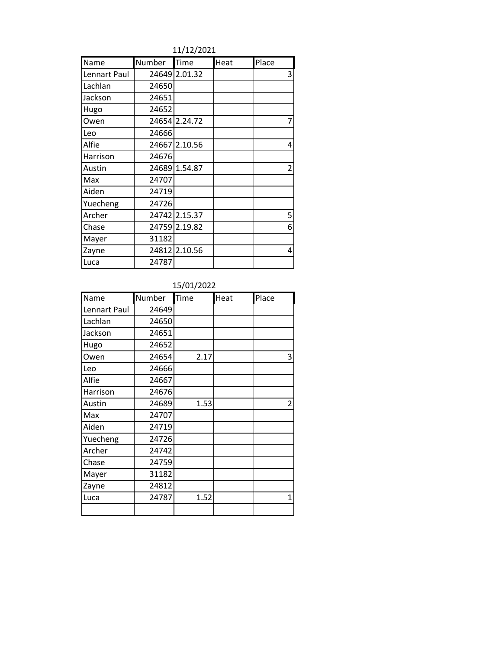11/12/2021

| Name         | Number | Time          | Heat | Place          |
|--------------|--------|---------------|------|----------------|
| Lennart Paul |        | 24649 2.01.32 |      | 3              |
| Lachlan      | 24650  |               |      |                |
| Jackson      | 24651  |               |      |                |
| Hugo         | 24652  |               |      |                |
| Owen         |        | 24654 2.24.72 |      | 7              |
| Leo          | 24666  |               |      |                |
| Alfie        |        | 24667 2.10.56 |      | 4              |
| Harrison     | 24676  |               |      |                |
| Austin       |        | 24689 1.54.87 |      | $\overline{2}$ |
| Max          | 24707  |               |      |                |
| Aiden        | 24719  |               |      |                |
| Yuecheng     | 24726  |               |      |                |
| Archer       |        | 24742 2.15.37 |      | 5              |
| Chase        |        | 24759 2.19.82 |      | 6              |
| Mayer        | 31182  |               |      |                |
| Zayne        |        | 24812 2.10.56 |      | 4              |
| Luca         | 24787  |               |      |                |

### 15/01/2022

| Name         | Number | Time | Heat | Place |
|--------------|--------|------|------|-------|
| Lennart Paul | 24649  |      |      |       |
| Lachlan      | 24650  |      |      |       |
| Jackson      | 24651  |      |      |       |
| Hugo         | 24652  |      |      |       |
| Owen         | 24654  | 2.17 |      | 3     |
| Leo          | 24666  |      |      |       |
| Alfie        | 24667  |      |      |       |
| Harrison     | 24676  |      |      |       |
| Austin       | 24689  | 1.53 |      | 2     |
| Max          | 24707  |      |      |       |
| Aiden        | 24719  |      |      |       |
| Yuecheng     | 24726  |      |      |       |
| Archer       | 24742  |      |      |       |
| Chase        | 24759  |      |      |       |
| Mayer        | 31182  |      |      |       |
| Zayne        | 24812  |      |      |       |
| Luca         | 24787  | 1.52 |      | 1     |
|              |        |      |      |       |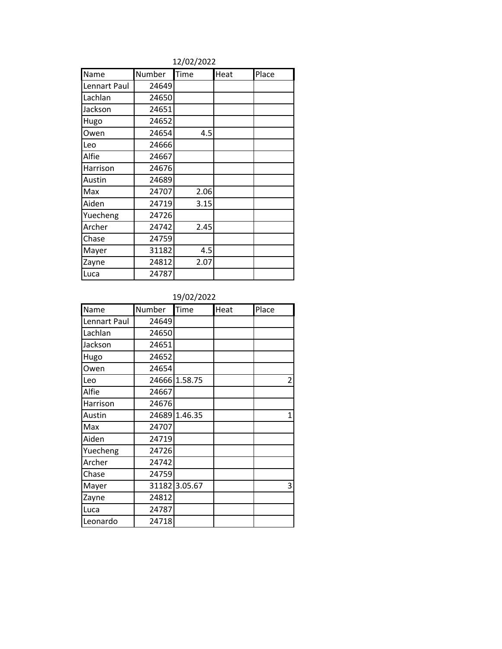| Name         | Number | <b>Time</b> | Heat | Place |
|--------------|--------|-------------|------|-------|
| Lennart Paul | 24649  |             |      |       |
| Lachlan      | 24650  |             |      |       |
| Jackson      | 24651  |             |      |       |
| Hugo         | 24652  |             |      |       |
| Owen         | 24654  | 4.5         |      |       |
| Leo          | 24666  |             |      |       |
| Alfie        | 24667  |             |      |       |
| Harrison     | 24676  |             |      |       |
| Austin       | 24689  |             |      |       |
| Max          | 24707  | 2.06        |      |       |
| Aiden        | 24719  | 3.15        |      |       |
| Yuecheng     | 24726  |             |      |       |
| Archer       | 24742  | 2.45        |      |       |
| Chase        | 24759  |             |      |       |
| Mayer        | 31182  | 4.5         |      |       |
| Zayne        | 24812  | 2.07        |      |       |
| Luca         | 24787  |             |      |       |

#### 12/02/2022

### 19/02/2022

| Name         | Number | Time          | Heat | Place          |
|--------------|--------|---------------|------|----------------|
| Lennart Paul | 24649  |               |      |                |
| Lachlan      | 24650  |               |      |                |
| Jackson      | 24651  |               |      |                |
| Hugo         | 24652  |               |      |                |
| Owen         | 24654  |               |      |                |
| Leo          |        | 24666 1.58.75 |      | $\overline{2}$ |
| Alfie        | 24667  |               |      |                |
| Harrison     | 24676  |               |      |                |
| Austin       |        | 24689 1.46.35 |      | 1              |
| Max          | 24707  |               |      |                |
| Aiden        | 24719  |               |      |                |
| Yuecheng     | 24726  |               |      |                |
| Archer       | 24742  |               |      |                |
| Chase        | 24759  |               |      |                |
| Mayer        |        | 31182 3.05.67 |      | 3              |
| Zayne        | 24812  |               |      |                |
| Luca         | 24787  |               |      |                |
| Leonardo     | 24718  |               |      |                |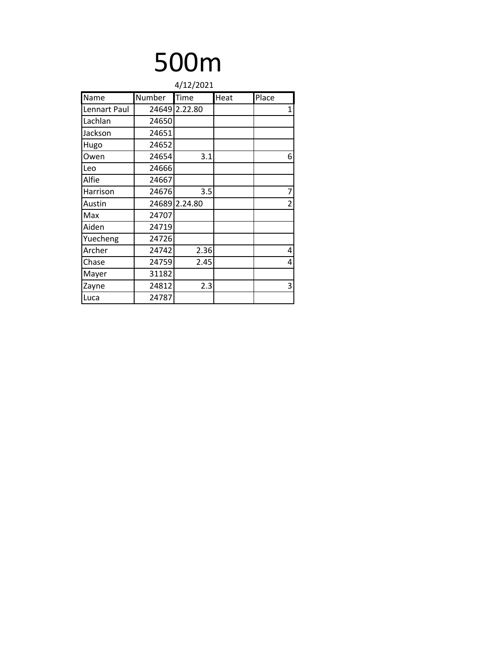| 4/12/2021    |        |               |      |                |  |  |
|--------------|--------|---------------|------|----------------|--|--|
| Name         | Number | Time          | Heat | Place          |  |  |
| Lennart Paul |        | 24649 2.22.80 |      | $\mathbf{1}$   |  |  |
| Lachlan      | 24650  |               |      |                |  |  |
| Jackson      | 24651  |               |      |                |  |  |
| Hugo         | 24652  |               |      |                |  |  |
| Owen         | 24654  | 3.1           |      | 6              |  |  |
| Leo          | 24666  |               |      |                |  |  |
| Alfie        | 24667  |               |      |                |  |  |
| Harrison     | 24676  | 3.5           |      | 7              |  |  |
| Austin       |        | 24689 2.24.80 |      | $\overline{2}$ |  |  |
| Max          | 24707  |               |      |                |  |  |
| Aiden        | 24719  |               |      |                |  |  |
| Yuecheng     | 24726  |               |      |                |  |  |
| Archer       | 24742  | 2.36          |      | 4              |  |  |
| Chase        | 24759  | 2.45          |      | 4              |  |  |
| Mayer        | 31182  |               |      |                |  |  |
| Zayne        | 24812  | 2.3           |      | 3              |  |  |
| Luca         | 24787  |               |      |                |  |  |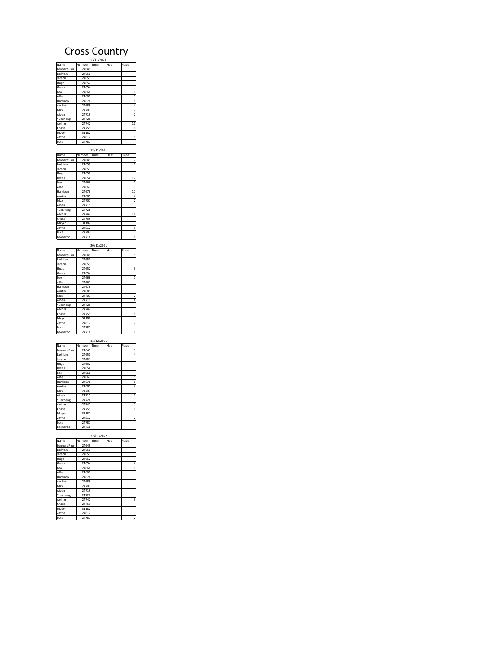### Cross Country

| Name         | Number Time | Heat | Place          |
|--------------|-------------|------|----------------|
| Lennart Paul | 24649       |      | 3              |
| Lachlan      | 24650       |      |                |
| Jacson       | 24651       |      |                |
| Hugo         | 24652       |      |                |
| Owen         | 24654       |      |                |
| Leo          | 24666       |      | $\mathbf{1}$   |
| Alfie        | 24667       |      | 9              |
| Harrison     | 24676       |      | 8              |
| Austin       | 24689       |      | 4              |
| Max          | 24707       |      | 7              |
| Aiden        | 24719       |      | $\overline{a}$ |
| Yuecheng     | 24726       |      |                |
| Archer       | 24742       |      | 10             |
| Chase        | 24759       |      | 6              |
| Mayer        | 31182       |      |                |
| Zayne        | 24812       |      | 5              |
| Luca         | 24787       |      |                |

| Name         | Number | Time | Heat | Place          |
|--------------|--------|------|------|----------------|
| Lennart Paul | 24649  |      |      | 7              |
| Lachlan      | 24650  |      |      | 6              |
| Jacson       | 24651  |      |      |                |
| Hugo         | 24652  |      |      |                |
| Owen         | 24654  |      |      | 12             |
| Leo          | 24666  |      |      | $\overline{1}$ |
| Alfie        | 24667  |      |      | 9              |
| Harrison     | 24676  |      |      | 11             |
| Austin       | 24689  |      |      | 4              |
| Max          | 24707  |      |      | 2              |
| Aiden        | 24719  |      |      | 3              |
| Yuecheng     | 24726  |      |      |                |
| Archer       | 24742  |      |      | 10             |
| Chase        | 24759  |      |      |                |
| Mayer        | 31182  |      |      |                |
| Zayne        | 24812  |      |      | 5              |
| Luca         | 24787  |      |      |                |
| Leonardo     | 24718  |      |      | 8              |

| 20/11/2021   |        |      |      |                |  |  |
|--------------|--------|------|------|----------------|--|--|
| Name         | Number | Time | Heat | Place          |  |  |
| Lennart Paul | 24649  |      |      | 5              |  |  |
| Lachlan      | 24650  |      |      |                |  |  |
| Jacson       | 24651  |      |      |                |  |  |
| Hugo         | 24652  |      |      | 3              |  |  |
| Owen         | 24654  |      |      |                |  |  |
| Leo          | 24666  |      |      | $\mathbf{1}$   |  |  |
| Alfie        | 24667  |      |      |                |  |  |
| Harrison     | 24676  |      |      |                |  |  |
| Austin       | 24689  |      |      |                |  |  |
| Max          | 24707  |      |      | $\overline{a}$ |  |  |
| Aiden        | 24719  |      |      | 4              |  |  |
| Yuecheng     | 24726  |      |      |                |  |  |
| Archer       | 24742  |      |      |                |  |  |
| Chase        | 24759  |      |      | 8              |  |  |
| Mayer        | 31182  |      |      |                |  |  |
| Zayne        | 24812  |      |      | 7              |  |  |
| Luca         | 24787  |      |      |                |  |  |
| Leonardo     | 24718  |      |      | 6              |  |  |

| 11/12/2021   |        |      |      |                |  |
|--------------|--------|------|------|----------------|--|
| Name         | Number | Time | Heat | Place          |  |
| Lennart Paul | 24649  |      |      | 3              |  |
| Lachlan      | 24650  |      |      | 4              |  |
| Jacson       | 24651  |      |      |                |  |
| Hugo         | 24652  |      |      |                |  |
| Owen         | 24654  |      |      |                |  |
| Leo          | 24666  |      |      |                |  |
| Alfie        | 24667  |      |      | 5              |  |
| Harrison     | 24676  |      |      | 8              |  |
| Austin       | 24689  |      |      | 4              |  |
| Max          | 24707  |      |      |                |  |
| Aiden        | 24719  |      |      | 1              |  |
| Yuecheng     | 24726  |      |      |                |  |
| Archer       | 24742  |      |      | 7              |  |
| Chase        | 24759  |      |      | 6              |  |
| Mayer        | 31182  |      |      |                |  |
| Zayne        | 24812  |      |      | $\overline{a}$ |  |
| Luca         | 24787  |      |      |                |  |
| Leonardo     | 24718  |      |      |                |  |

| 22/01/2022   |        |      |      |                |  |  |
|--------------|--------|------|------|----------------|--|--|
| Name         | Number | Time | Heat | Place          |  |  |
| Lennart Paul | 24649  |      |      |                |  |  |
| Lachlan      | 24650  |      |      |                |  |  |
| Jacson       | 24651  |      |      |                |  |  |
| Hugo         | 24652  |      |      |                |  |  |
| Owen         | 24654  |      |      | 4              |  |  |
| Leo          | 24666  |      |      | $\mathbf{1}$   |  |  |
| Alfie        | 24667  |      |      |                |  |  |
| Harrison     | 24676  |      |      |                |  |  |
| Austin       | 24689  |      |      |                |  |  |
| Max          | 24707  |      |      |                |  |  |
| Aiden        | 24719  |      |      |                |  |  |
| Yuecheng     | 24726  |      |      |                |  |  |
| Archer       | 24742  |      |      | 3              |  |  |
| Chase        | 24759  |      |      |                |  |  |
| Maver        | 31182  |      |      |                |  |  |
| Zayne        | 24812  |      |      |                |  |  |
| Luca         | 24787  |      |      | $\overline{a}$ |  |  |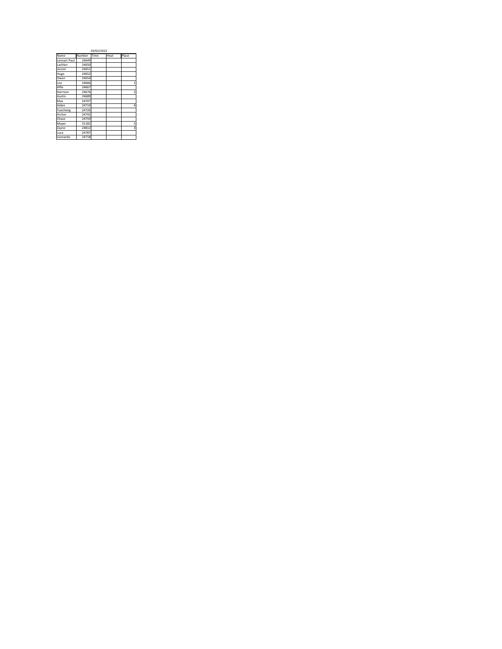|              | 19/02/2022 |      |      |                         |  |  |
|--------------|------------|------|------|-------------------------|--|--|
| Name         | Number     | Time | Heat | Place                   |  |  |
| Lennart Paul | 24649      |      |      |                         |  |  |
| Lachlan      | 24650      |      |      |                         |  |  |
| Jacson       | 24651      |      |      |                         |  |  |
| Hugo         | 24652      |      |      |                         |  |  |
| Owen         | 24654      |      |      |                         |  |  |
| Leo          | 24666      |      |      | 1                       |  |  |
| Alfie        | 24667      |      |      |                         |  |  |
| Harrison     | 24676      |      |      | $\overline{\mathbf{z}}$ |  |  |
| Austin       | 24689      |      |      |                         |  |  |
| Max          | 24707      |      |      |                         |  |  |
| Aiden        | 24719      |      |      | 4                       |  |  |
| Yuecheng     | 24726      |      |      |                         |  |  |
| Archer       | 24742      |      |      |                         |  |  |
| Chase        | 24759      |      |      |                         |  |  |
| Mayer        | 31182      |      |      | 5                       |  |  |
| Zayne        | 24812      |      |      | 3                       |  |  |
| Luca         | 24787      |      |      |                         |  |  |
| Leonardo     | 24718      |      |      |                         |  |  |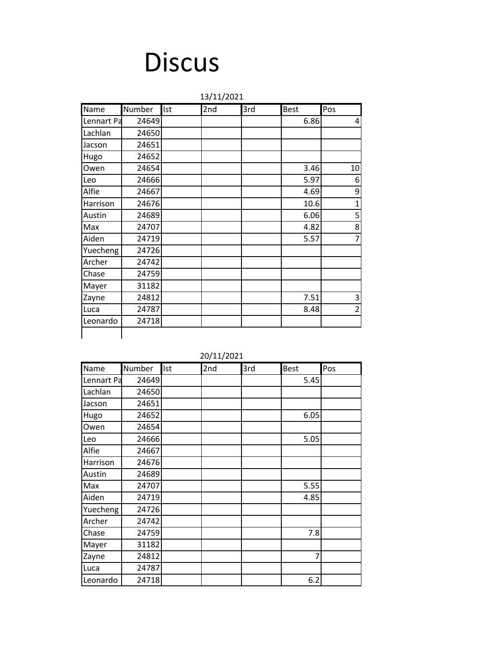## **Discus**

Name Number Ist 2nd 3rd Best Pos Lennart Pa 24649 | | | 6.86 4 Lachlan 24650 Jacson 24651 Hugo 24652 Owen | 24654 | | | | 3.46 10 Leo | 24666 | | | | | 5.97 | 6 Alfie | 24667 | | | | 4.69 | 9 Harrison 24676 10.6 1 Austin | 24689 | | | | 6.06 | 5 Max | 24707 | | | | 4.82 | 8 Aiden | 24719 | | | | 5.57 | 7 Yuecheng 24726 Archer 24742 Chase 24759 Mayer | 31182 Zayne 24812 7.51 3 Luca | 24787 | | | 8.48 | 2 Leonardo  $\vert$  24718 13/11/2021

| 20/11/2021 |  |
|------------|--|
|------------|--|

| Name       | Number | Ist | 2nd | 3rd | <b>Best</b> | Pos |
|------------|--------|-----|-----|-----|-------------|-----|
| Lennart Pa | 24649  |     |     |     | 5.45        |     |
| Lachlan    | 24650  |     |     |     |             |     |
| Jacson     | 24651  |     |     |     |             |     |
| Hugo       | 24652  |     |     |     | 6.05        |     |
| Owen       | 24654  |     |     |     |             |     |
| Leo        | 24666  |     |     |     | 5.05        |     |
| Alfie      | 24667  |     |     |     |             |     |
| Harrison   | 24676  |     |     |     |             |     |
| Austin     | 24689  |     |     |     |             |     |
| Max        | 24707  |     |     |     | 5.55        |     |
| Aiden      | 24719  |     |     |     | 4.85        |     |
| Yuecheng   | 24726  |     |     |     |             |     |
| Archer     | 24742  |     |     |     |             |     |
| Chase      | 24759  |     |     |     | 7.8         |     |
| Mayer      | 31182  |     |     |     |             |     |
| Zayne      | 24812  |     |     |     | 7           |     |
| Luca       | 24787  |     |     |     |             |     |
| Leonardo   | 24718  |     |     |     | 6.2         |     |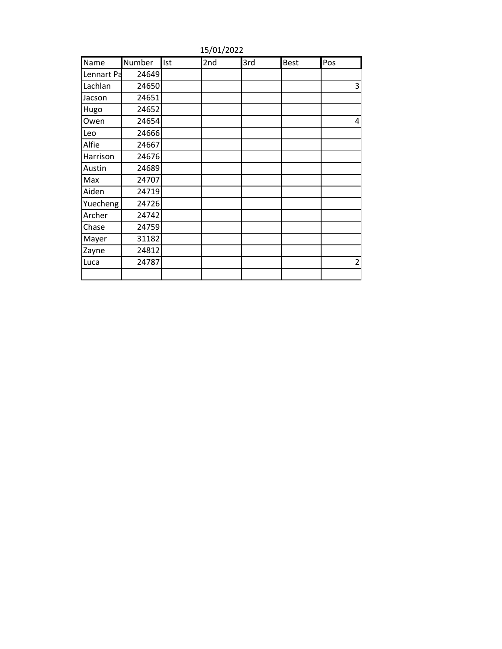| Name       | Number | Ist | 2nd | 3rd | <b>Best</b> | Pos            |
|------------|--------|-----|-----|-----|-------------|----------------|
| Lennart Pa | 24649  |     |     |     |             |                |
| Lachlan    | 24650  |     |     |     |             | 3              |
| Jacson     | 24651  |     |     |     |             |                |
| Hugo       | 24652  |     |     |     |             |                |
| Owen       | 24654  |     |     |     |             | 4              |
| Leo        | 24666  |     |     |     |             |                |
| Alfie      | 24667  |     |     |     |             |                |
| Harrison   | 24676  |     |     |     |             |                |
| Austin     | 24689  |     |     |     |             |                |
| Max        | 24707  |     |     |     |             |                |
| Aiden      | 24719  |     |     |     |             |                |
| Yuecheng   | 24726  |     |     |     |             |                |
| Archer     | 24742  |     |     |     |             |                |
| Chase      | 24759  |     |     |     |             |                |
| Mayer      | 31182  |     |     |     |             |                |
| Zayne      | 24812  |     |     |     |             |                |
| Luca       | 24787  |     |     |     |             | $\overline{2}$ |
|            |        |     |     |     |             |                |

15/01/2022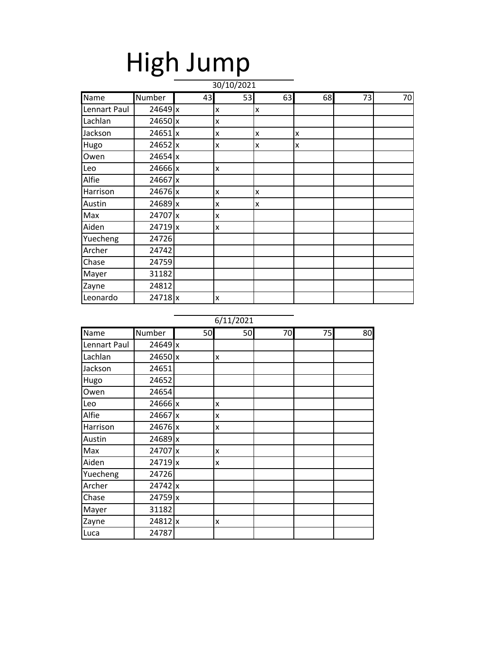# High Jump

| Name         | Number    | 43 | 53 | 63 | 68 | 73 | 70 |
|--------------|-----------|----|----|----|----|----|----|
| Lennart Paul | 24649x    |    | x  | X  |    |    |    |
| Lachlan      | $24650$ x |    | X  |    |    |    |    |
| Jackson      | $24651$ x |    | X  | x  | x  |    |    |
| Hugo         | 24652 x   |    | X  | X  | x  |    |    |
| Owen         | $24654$ x |    |    |    |    |    |    |
| Leo          | 24666 x   |    | X  |    |    |    |    |
| Alfie        | 24667 x   |    |    |    |    |    |    |
| Harrison     | 24676 x   |    | X  | x  |    |    |    |
| Austin       | 24689 x   |    | x  | X  |    |    |    |
| Max          | 24707 x   |    | X  |    |    |    |    |
| Aiden        | $24719$ x |    | X  |    |    |    |    |
| Yuecheng     | 24726     |    |    |    |    |    |    |
| Archer       | 24742     |    |    |    |    |    |    |
| Chase        | 24759     |    |    |    |    |    |    |
| Mayer        | 31182     |    |    |    |    |    |    |
| Zayne        | 24812     |    |    |    |    |    |    |
| Leonardo     | $24718$ x |    | X  |    |    |    |    |

| Name         | Number               | 50 | 50 | 70 | 75 | 80 |
|--------------|----------------------|----|----|----|----|----|
| Lennart Paul | 24649x               |    |    |    |    |    |
| Lachlan      | $24650$ x            |    | X  |    |    |    |
| Jackson      | 24651                |    |    |    |    |    |
| Hugo         | 24652                |    |    |    |    |    |
| Owen         | 24654                |    |    |    |    |    |
| Leo          | $24666$ x            |    | X  |    |    |    |
| Alfie        | 24667 x              |    | x  |    |    |    |
| Harrison     | 24676 x              |    | X  |    |    |    |
| Austin       | $24689$ x            |    |    |    |    |    |
| Max          | 24707 x              |    | X  |    |    |    |
| Aiden        | $24719$ <sub>x</sub> |    | X  |    |    |    |
| Yuecheng     | 24726                |    |    |    |    |    |
| Archer       | $24742$ x            |    |    |    |    |    |
| Chase        | $24759$ x            |    |    |    |    |    |
| Mayer        | 31182                |    |    |    |    |    |
| Zayne        | $24812$ x            |    | X  |    |    |    |
| Luca         | 24787                |    |    |    |    |    |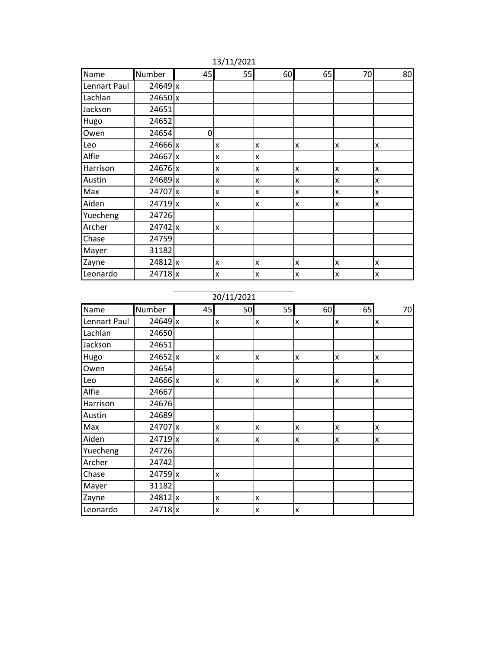| Name         | Number         | 45 | 55                        | 60 | 65           | 70 | 80 |
|--------------|----------------|----|---------------------------|----|--------------|----|----|
| Lennart Paul | 24649x         |    |                           |    |              |    |    |
| Lachlan      | $24650$ x      |    |                           |    |              |    |    |
| Jackson      | 24651          |    |                           |    |              |    |    |
| Hugo         | 24652          |    |                           |    |              |    |    |
| Owen         | 24654          | 0  |                           |    |              |    |    |
| Leo          | $24666 \times$ |    | X                         | x  | x            | X  | x  |
| Alfie        | $24667$ x      |    | X                         | X  |              |    |    |
| Harrison     | $24676$ x      |    | $\boldsymbol{\mathsf{x}}$ | Ιx | x            | X  | X  |
| Austin       | $24689$ x      |    | X                         | Ιx | $\mathsf{x}$ | X  | x  |
| Max          | 24707 x        |    | x                         | Ιx | x            | X  | x  |
| Aiden        | $24719$ x      |    | X                         | Ιx | X            | X  | x  |
| Yuecheng     | 24726          |    |                           |    |              |    |    |
| Archer       | $24742 \times$ |    | $\boldsymbol{\mathsf{x}}$ |    |              |    |    |
| Chase        | 24759          |    |                           |    |              |    |    |
| Mayer        | 31182          |    |                           |    |              |    |    |
| Zayne        | $24812$ x      |    | X                         | Ιx | X            | X  | x  |
| Leonardo     | 24718x         |    | X                         | Ιx | x            | X  | X  |

13/11/2021

20/11/2021

| Name         | Number         | 45 | 50 | 55           | 60           | 65 | 70 |
|--------------|----------------|----|----|--------------|--------------|----|----|
| Lennart Paul | $24649$ x      |    | X  | X            | $\mathsf{x}$ | x  | X  |
| Lachlan      | 24650          |    |    |              |              |    |    |
| Jackson      | 24651          |    |    |              |              |    |    |
| Hugo         | 24652 x        |    | Ιx | $\mathsf{x}$ | x            | X  | X  |
| Owen         | 24654          |    |    |              |              |    |    |
| Leo          | $24666$ x      |    | Ιx | X            | X            | X  | X  |
| Alfie        | 24667          |    |    |              |              |    |    |
| Harrison     | 24676          |    |    |              |              |    |    |
| Austin       | 24689          |    |    |              |              |    |    |
| Max          | 24707 x        |    | X  | x            | x            | X  | X  |
| Aiden        | $24719$ x      |    | X  | x            | x            | X  | X  |
| Yuecheng     | 24726          |    |    |              |              |    |    |
| Archer       | 24742          |    |    |              |              |    |    |
| Chase        | $24759$ x      |    | x  |              |              |    |    |
| Mayer        | 31182          |    |    |              |              |    |    |
| Zayne        | 24812x         |    | X  | X            |              |    |    |
| Leonardo     | $24718 \times$ |    | X  | x            | $\mathsf{x}$ |    |    |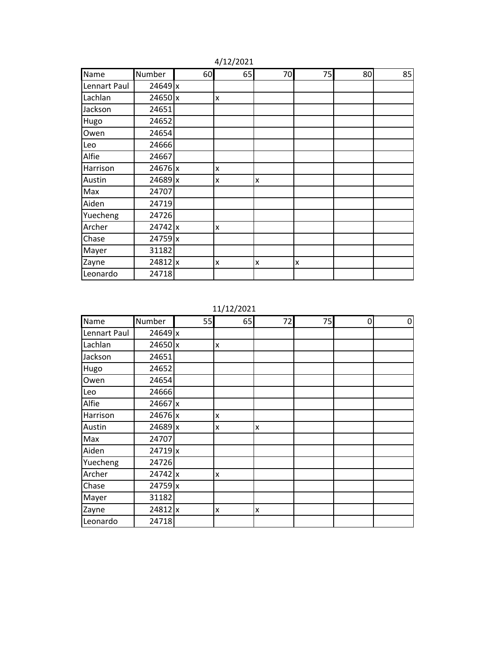| Name         | Number         | 60 | 65           | 70                      | 75 | 80 | 85 |
|--------------|----------------|----|--------------|-------------------------|----|----|----|
| Lennart Paul | 24649x         |    |              |                         |    |    |    |
| Lachlan      | $24650$ x      |    | x            |                         |    |    |    |
| Jackson      | 24651          |    |              |                         |    |    |    |
| Hugo         | 24652          |    |              |                         |    |    |    |
| Owen         | 24654          |    |              |                         |    |    |    |
| Leo          | 24666          |    |              |                         |    |    |    |
| Alfie        | 24667          |    |              |                         |    |    |    |
| Harrison     | $24676$ x      |    | x            |                         |    |    |    |
| Austin       | $24689$ x      |    | x            | $\overline{\mathsf{x}}$ |    |    |    |
| Max          | 24707          |    |              |                         |    |    |    |
| Aiden        | 24719          |    |              |                         |    |    |    |
| Yuecheng     | 24726          |    |              |                         |    |    |    |
| Archer       | $24742 \times$ |    | $\mathsf{x}$ |                         |    |    |    |
| Chase        | $24759$ x      |    |              |                         |    |    |    |
| Mayer        | 31182          |    |              |                         |    |    |    |
| Zayne        | $24812$ x      |    | x            | X                       | X  |    |    |
| Leonardo     | 24718          |    |              |                         |    |    |    |

4/12/2021

11/12/2021

| Name         | Number    | 55 | 65 | 72 | 75 | 0 | 0 |
|--------------|-----------|----|----|----|----|---|---|
| Lennart Paul | 24649x    |    |    |    |    |   |   |
| Lachlan      | $24650$ x |    | x  |    |    |   |   |
| Jackson      | 24651     |    |    |    |    |   |   |
| Hugo         | 24652     |    |    |    |    |   |   |
| Owen         | 24654     |    |    |    |    |   |   |
| Leo          | 24666     |    |    |    |    |   |   |
| Alfie        | $24667$ x |    |    |    |    |   |   |
| Harrison     | $24676$ x |    | X  |    |    |   |   |
| Austin       | 24689 x   |    | X  | x  |    |   |   |
| Max          | 24707     |    |    |    |    |   |   |
| Aiden        | 24719x    |    |    |    |    |   |   |
| Yuecheng     | 24726     |    |    |    |    |   |   |
| Archer       | $24742$ x |    | X  |    |    |   |   |
| Chase        | $24759$ x |    |    |    |    |   |   |
| Mayer        | 31182     |    |    |    |    |   |   |
| Zayne        | $24812$ x |    | X  | X  |    |   |   |
| Leonardo     | 24718     |    |    |    |    |   |   |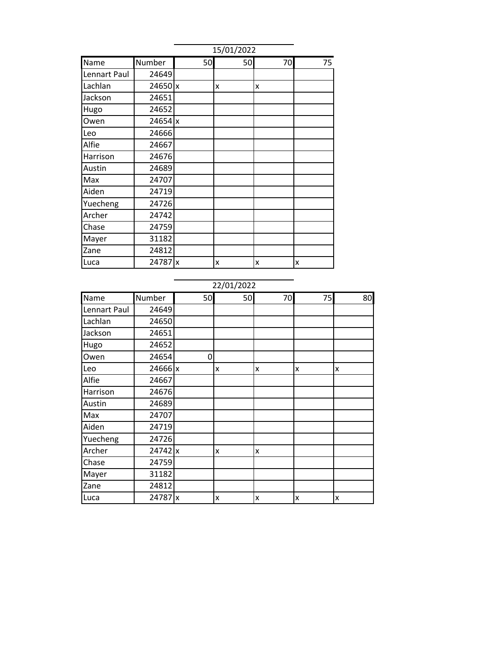|              | 15/01/2022 |    |    |    |    |  |  |  |
|--------------|------------|----|----|----|----|--|--|--|
| Name         | Number     | 50 | 50 | 70 | 75 |  |  |  |
| Lennart Paul | 24649      |    |    |    |    |  |  |  |
| Lachlan      | 24650 x    |    | x  | X  |    |  |  |  |
| Jackson      | 24651      |    |    |    |    |  |  |  |
| Hugo         | 24652      |    |    |    |    |  |  |  |
| Owen         | $24654$ x  |    |    |    |    |  |  |  |
| Leo          | 24666      |    |    |    |    |  |  |  |
| Alfie        | 24667      |    |    |    |    |  |  |  |
| Harrison     | 24676      |    |    |    |    |  |  |  |
| Austin       | 24689      |    |    |    |    |  |  |  |
| Max          | 24707      |    |    |    |    |  |  |  |
| Aiden        | 24719      |    |    |    |    |  |  |  |
| Yuecheng     | 24726      |    |    |    |    |  |  |  |
| Archer       | 24742      |    |    |    |    |  |  |  |
| Chase        | 24759      |    |    |    |    |  |  |  |
| Mayer        | 31182      |    |    |    |    |  |  |  |
| Zane         | 24812      |    |    |    |    |  |  |  |
| Luca         | 24787 x    |    | X  | X  | X  |  |  |  |

### 22/01/2022

| Name         | Number    | 50 | 50 | 70 | 75 | 80 |
|--------------|-----------|----|----|----|----|----|
| Lennart Paul | 24649     |    |    |    |    |    |
| Lachlan      | 24650     |    |    |    |    |    |
| Jackson      | 24651     |    |    |    |    |    |
| Hugo         | 24652     |    |    |    |    |    |
| Owen         | 24654     | 0  |    |    |    |    |
| Leo          | $24666$ x |    | x  | x  | X  | x  |
| Alfie        | 24667     |    |    |    |    |    |
| Harrison     | 24676     |    |    |    |    |    |
| Austin       | 24689     |    |    |    |    |    |
| Max          | 24707     |    |    |    |    |    |
| Aiden        | 24719     |    |    |    |    |    |
| Yuecheng     | 24726     |    |    |    |    |    |
| Archer       | $24742$ x |    | x  | X  |    |    |
| Chase        | 24759     |    |    |    |    |    |
| Mayer        | 31182     |    |    |    |    |    |
| Zane         | 24812     |    |    |    |    |    |
| Luca         | 24787 x   |    | X  | X  | X  | X  |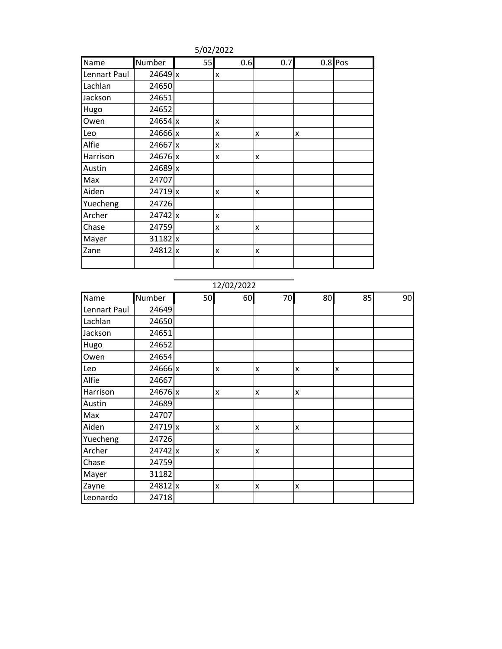|              |           |    | 5/02/2022                 |              |   |           |
|--------------|-----------|----|---------------------------|--------------|---|-----------|
| Name         | Number    | 55 | 0.6                       | 0.7          |   | $0.8$ Pos |
| Lennart Paul | $24649$ x |    | x                         |              |   |           |
| Lachlan      | 24650     |    |                           |              |   |           |
| Jackson      | 24651     |    |                           |              |   |           |
| Hugo         | 24652     |    |                           |              |   |           |
| Owen         | 24654 x   |    | x                         |              |   |           |
| Leo          | $24666$ x |    | x                         | X            | X |           |
| Alfie        | 24667 x   |    | $\mathsf{x}$              |              |   |           |
| Harrison     | 24676 x   |    | x                         | $\mathsf{x}$ |   |           |
| Austin       | 24689 x   |    |                           |              |   |           |
| Max          | 24707     |    |                           |              |   |           |
| Aiden        | $24719$ x |    | x                         | x            |   |           |
| Yuecheng     | 24726     |    |                           |              |   |           |
| Archer       | $24742$ x |    | $\boldsymbol{\mathsf{x}}$ |              |   |           |
| Chase        | 24759     |    | $\overline{\mathsf{x}}$   | $\mathsf{x}$ |   |           |
| Mayer        | 31182 x   |    |                           |              |   |           |
| Zane         | 24812 x   |    | x                         | x            |   |           |
|              |           |    |                           |              |   |           |

### 12/02/2022

| Name         | Number    | 50 | 60           | 70 | 80 | 85 | 90 |
|--------------|-----------|----|--------------|----|----|----|----|
| Lennart Paul | 24649     |    |              |    |    |    |    |
| Lachlan      | 24650     |    |              |    |    |    |    |
| Jackson      | 24651     |    |              |    |    |    |    |
| Hugo         | 24652     |    |              |    |    |    |    |
| Owen         | 24654     |    |              |    |    |    |    |
| Leo          | $24666$ x |    | X            | X  | X  | x  |    |
| Alfie        | 24667     |    |              |    |    |    |    |
| Harrison     | 24676 x   |    | X            | X  | X  |    |    |
| Austin       | 24689     |    |              |    |    |    |    |
| Max          | 24707     |    |              |    |    |    |    |
| Aiden        | 24719 x   |    | X            | X  | X  |    |    |
| Yuecheng     | 24726     |    |              |    |    |    |    |
| Archer       | $24742$ x |    | $\mathsf{x}$ | X  |    |    |    |
| Chase        | 24759     |    |              |    |    |    |    |
| Mayer        | 31182     |    |              |    |    |    |    |
| Zayne        | 24812 x   |    | X            | X  | X  |    |    |
| Leonardo     | 24718     |    |              |    |    |    |    |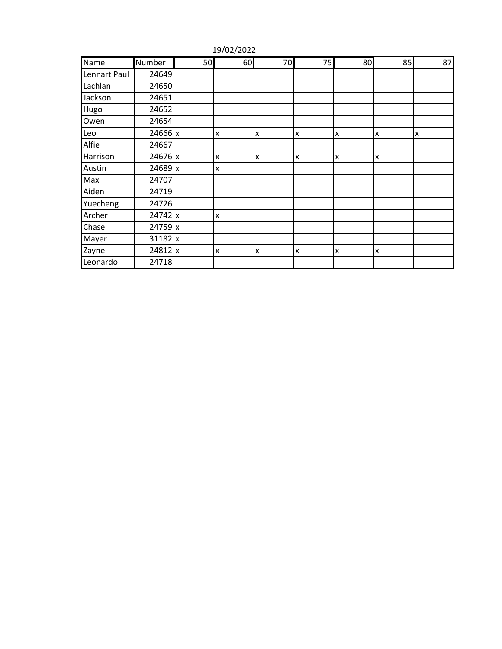| Name         | Number    | 50 | 60 | 70 | 75 | 80 | 85 | 87 |
|--------------|-----------|----|----|----|----|----|----|----|
| Lennart Paul | 24649     |    |    |    |    |    |    |    |
| Lachlan      | 24650     |    |    |    |    |    |    |    |
| Jackson      | 24651     |    |    |    |    |    |    |    |
| Hugo         | 24652     |    |    |    |    |    |    |    |
| Owen         | 24654     |    |    |    |    |    |    |    |
| Leo          | 24666 x   |    | X  | X  | X  | X  | X  | X  |
| Alfie        | 24667     |    |    |    |    |    |    |    |
| Harrison     | 24676 x   |    | X  | X  | X  | X  | X  |    |
| Austin       | 24689 x   |    | X  |    |    |    |    |    |
| Max          | 24707     |    |    |    |    |    |    |    |
| Aiden        | 24719     |    |    |    |    |    |    |    |
| Yuecheng     | 24726     |    |    |    |    |    |    |    |
| Archer       | $24742$ x |    | X  |    |    |    |    |    |
| Chase        | $24759$ x |    |    |    |    |    |    |    |
| Mayer        | $31182$ x |    |    |    |    |    |    |    |
| Zayne        | 24812 x   |    | X  | X  | x  | X  | X  |    |
| Leonardo     | 24718     |    |    |    |    |    |    |    |

19/02/2022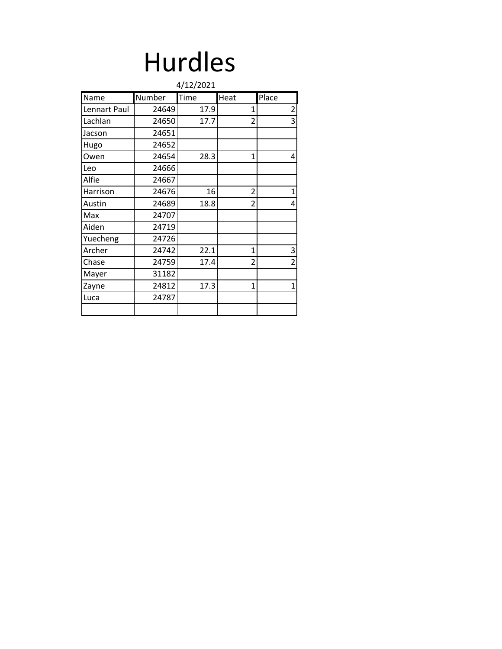# Hurdles

|              |        | 4/12/2021 |                          |                |
|--------------|--------|-----------|--------------------------|----------------|
| Name         | Number | Time      | Heat                     | Place          |
| Lennart Paul | 24649  | 17.9      | 1                        | $\overline{c}$ |
| Lachlan      | 24650  | 17.7      | $\overline{\mathcal{L}}$ | 3              |
| Jacson       | 24651  |           |                          |                |
| Hugo         | 24652  |           |                          |                |
| Owen         | 24654  | 28.3      | 1                        | 4              |
| Leo          | 24666  |           |                          |                |
| Alfie        | 24667  |           |                          |                |
| Harrison     | 24676  | 16        | $\overline{2}$           | $\mathbf{1}$   |
| Austin       | 24689  | 18.8      | $\overline{\phantom{a}}$ | 4              |
| Max          | 24707  |           |                          |                |
| Aiden        | 24719  |           |                          |                |
| Yuecheng     | 24726  |           |                          |                |
| Archer       | 24742  | 22.1      | 1                        | 3              |
| Chase        | 24759  | 17.4      | $\overline{2}$           | $\overline{2}$ |
| Mayer        | 31182  |           |                          |                |
| Zayne        | 24812  | 17.3      | 1                        | $\mathbf{1}$   |
| Luca         | 24787  |           |                          |                |
|              |        |           |                          |                |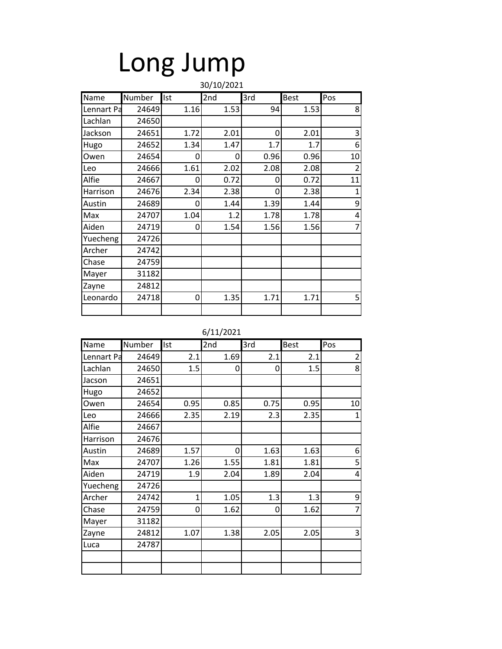# Long Jump

|            |        |      | 30/10/2021 |      |             |                |
|------------|--------|------|------------|------|-------------|----------------|
| Name       | Number | Ist  | 2nd        | 3rd  | <b>Best</b> | Pos            |
| Lennart Pa | 24649  | 1.16 | 1.53       | 94   | 1.53        | 8              |
| Lachlan    | 24650  |      |            |      |             |                |
| Jackson    | 24651  | 1.72 | 2.01       | 0    | 2.01        | 3              |
| Hugo       | 24652  | 1.34 | 1.47       | 1.7  | 1.7         | 6              |
| Owen       | 24654  | 0    | 0          | 0.96 | 0.96        | 10             |
| Leo        | 24666  | 1.61 | 2.02       | 2.08 | 2.08        | $\overline{2}$ |
| Alfie      | 24667  | 0    | 0.72       | 0    | 0.72        | 11             |
| Harrison   | 24676  | 2.34 | 2.38       | 0    | 2.38        | $\mathbf{1}$   |
| Austin     | 24689  | 0    | 1.44       | 1.39 | 1.44        | 9              |
| Max        | 24707  | 1.04 | 1.2        | 1.78 | 1.78        | 4              |
| Aiden      | 24719  | 0    | 1.54       | 1.56 | 1.56        | 7              |
| Yuecheng   | 24726  |      |            |      |             |                |
| Archer     | 24742  |      |            |      |             |                |
| Chase      | 24759  |      |            |      |             |                |
| Mayer      | 31182  |      |            |      |             |                |
| Zayne      | 24812  |      |            |      |             |                |
| Leonardo   | 24718  | 0    | 1.35       | 1.71 | 1.71        | 5              |
|            |        |      |            |      |             |                |

| Name       | Number | Ist          | 2nd  | 3rd  | <b>Best</b> | Pos            |
|------------|--------|--------------|------|------|-------------|----------------|
| Lennart Pa | 24649  | 2.1          | 1.69 | 2.1  | 2.1         | $\overline{c}$ |
| Lachlan    | 24650  | 1.5          | 0    | 0    | 1.5         | 8              |
| Jacson     | 24651  |              |      |      |             |                |
| Hugo       | 24652  |              |      |      |             |                |
| Owen       | 24654  | 0.95         | 0.85 | 0.75 | 0.95        | 10             |
| Leo        | 24666  | 2.35         | 2.19 | 2.3  | 2.35        | 1              |
| Alfie      | 24667  |              |      |      |             |                |
| Harrison   | 24676  |              |      |      |             |                |
| Austin     | 24689  | 1.57         | 0    | 1.63 | 1.63        | 6              |
| Max        | 24707  | 1.26         | 1.55 | 1.81 | 1.81        | 5              |
| Aiden      | 24719  | 1.9          | 2.04 | 1.89 | 2.04        | 4              |
| Yuecheng   | 24726  |              |      |      |             |                |
| Archer     | 24742  | $\mathbf{1}$ | 1.05 | 1.3  | 1.3         | 9              |
| Chase      | 24759  | 0            | 1.62 | 0    | 1.62        | $\overline{7}$ |
| Mayer      | 31182  |              |      |      |             |                |
| Zayne      | 24812  | 1.07         | 1.38 | 2.05 | 2.05        | 3              |
| Luca       | 24787  |              |      |      |             |                |
|            |        |              |      |      |             |                |
|            |        |              |      |      |             |                |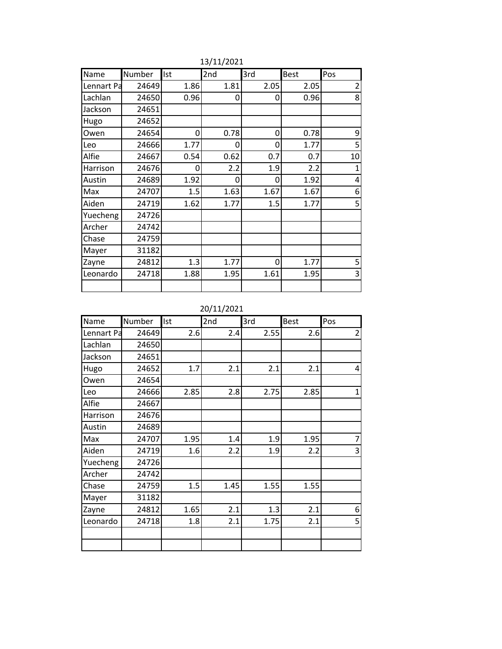| Name       | Number | Ist  | 2nd  | 3rd  | <b>Best</b> | Pos            |
|------------|--------|------|------|------|-------------|----------------|
| Lennart Pa | 24649  | 1.86 | 1.81 | 2.05 | 2.05        | $\overline{2}$ |
| Lachlan    | 24650  | 0.96 | 0    | 0    | 0.96        | 8              |
| Jackson    | 24651  |      |      |      |             |                |
| Hugo       | 24652  |      |      |      |             |                |
| Owen       | 24654  | 0    | 0.78 | 0    | 0.78        | 9              |
| Leo        | 24666  | 1.77 | 0    | 0    | 1.77        | 5              |
| Alfie      | 24667  | 0.54 | 0.62 | 0.7  | 0.7         | 10             |
| Harrison   | 24676  | 0    | 2.2  | 1.9  | 2.2         | $\mathbf{1}$   |
| Austin     | 24689  | 1.92 | 0    | 0    | 1.92        | 4              |
| Max        | 24707  | 1.5  | 1.63 | 1.67 | 1.67        | 6              |
| Aiden      | 24719  | 1.62 | 1.77 | 1.5  | 1.77        | 5              |
| Yuecheng   | 24726  |      |      |      |             |                |
| Archer     | 24742  |      |      |      |             |                |
| Chase      | 24759  |      |      |      |             |                |
| Mayer      | 31182  |      |      |      |             |                |
| Zayne      | 24812  | 1.3  | 1.77 | 0    | 1.77        | 5              |
| Leonardo   | 24718  | 1.88 | 1.95 | 1.61 | 1.95        | 3              |
|            |        |      |      |      |             |                |

13/11/2021

20/11/2021

| Name       | Number | Ist  | 2nd  | 3rd  | <b>Best</b> | Pos            |
|------------|--------|------|------|------|-------------|----------------|
| Lennart Pa | 24649  | 2.6  | 2.4  | 2.55 | 2.6         | $\overline{2}$ |
| Lachlan    | 24650  |      |      |      |             |                |
| Jackson    | 24651  |      |      |      |             |                |
| Hugo       | 24652  | 1.7  | 2.1  | 2.1  | 2.1         | 4              |
| Owen       | 24654  |      |      |      |             |                |
| Leo        | 24666  | 2.85 | 2.8  | 2.75 | 2.85        | 1              |
| Alfie      | 24667  |      |      |      |             |                |
| Harrison   | 24676  |      |      |      |             |                |
| Austin     | 24689  |      |      |      |             |                |
| Max        | 24707  | 1.95 | 1.4  | 1.9  | 1.95        | $\overline{7}$ |
| Aiden      | 24719  | 1.6  | 2.2  | 1.9  | 2.2         | 3              |
| Yuecheng   | 24726  |      |      |      |             |                |
| Archer     | 24742  |      |      |      |             |                |
| Chase      | 24759  | 1.5  | 1.45 | 1.55 | 1.55        |                |
| Mayer      | 31182  |      |      |      |             |                |
| Zayne      | 24812  | 1.65 | 2.1  | 1.3  | 2.1         | 6              |
| Leonardo   | 24718  | 1.8  | 2.1  | 1.75 | 2.1         | 5              |
|            |        |      |      |      |             |                |
|            |        |      |      |      |             |                |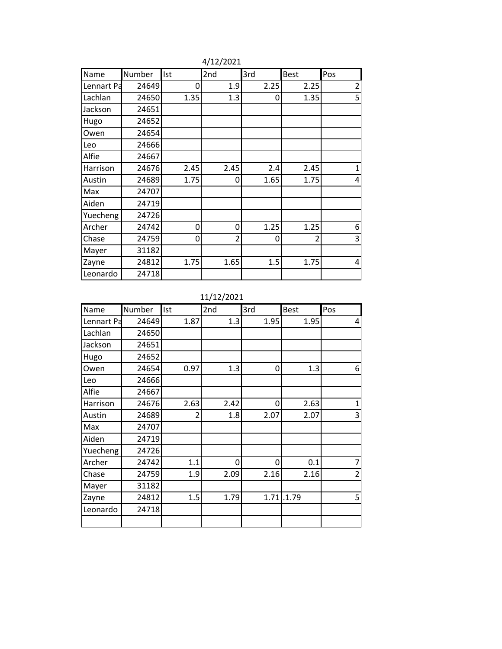| Name       | Number | Ist  | 2nd  | 3rd  | <b>Best</b>    | Pos            |
|------------|--------|------|------|------|----------------|----------------|
| Lennart Pa | 24649  | 0    | 1.9  | 2.25 | 2.25           | $\overline{2}$ |
| Lachlan    | 24650  | 1.35 | 1.3  | 0    | 1.35           | 5              |
| Jackson    | 24651  |      |      |      |                |                |
| Hugo       | 24652  |      |      |      |                |                |
| Owen       | 24654  |      |      |      |                |                |
| Leo        | 24666  |      |      |      |                |                |
| Alfie      | 24667  |      |      |      |                |                |
| Harrison   | 24676  | 2.45 | 2.45 | 2.4  | 2.45           | $\mathbf 1$    |
| Austin     | 24689  | 1.75 | 0    | 1.65 | 1.75           | 4              |
| Max        | 24707  |      |      |      |                |                |
| Aiden      | 24719  |      |      |      |                |                |
| Yuecheng   | 24726  |      |      |      |                |                |
| Archer     | 24742  | 0    | 0    | 1.25 | 1.25           | 6              |
| Chase      | 24759  | 0    | 2    | 0    | $\mathfrak{p}$ | 3              |
| Mayer      | 31182  |      |      |      |                |                |
| Zayne      | 24812  | 1.75 | 1.65 | 1.5  | 1.75           | 4              |
| Leonardo   | 24718  |      |      |      |                |                |

4/12/2021

11/12/2021

| Name       | Number | Ist  | 2nd  | 3rd  | <b>Best</b>  | Pos            |
|------------|--------|------|------|------|--------------|----------------|
| Lennart Pa | 24649  | 1.87 | 1.3  | 1.95 | 1.95         | 4              |
| Lachlan    | 24650  |      |      |      |              |                |
| Jackson    | 24651  |      |      |      |              |                |
| Hugo       | 24652  |      |      |      |              |                |
| Owen       | 24654  | 0.97 | 1.3  | 0    | 1.3          | 6              |
| Leo        | 24666  |      |      |      |              |                |
| Alfie      | 24667  |      |      |      |              |                |
| Harrison   | 24676  | 2.63 | 2.42 | 0    | 2.63         | 1              |
| Austin     | 24689  | 2    | 1.8  | 2.07 | 2.07         | 3              |
| Max        | 24707  |      |      |      |              |                |
| Aiden      | 24719  |      |      |      |              |                |
| Yuecheng   | 24726  |      |      |      |              |                |
| Archer     | 24742  | 1.1  | 0    | 0    | 0.1          | 7              |
| Chase      | 24759  | 1.9  | 2.09 | 2.16 | 2.16         | $\overline{2}$ |
| Mayer      | 31182  |      |      |      |              |                |
| Zayne      | 24812  | 1.5  | 1.79 |      | $1.71$ .1.79 | 5              |
| Leonardo   | 24718  |      |      |      |              |                |
|            |        |      |      |      |              |                |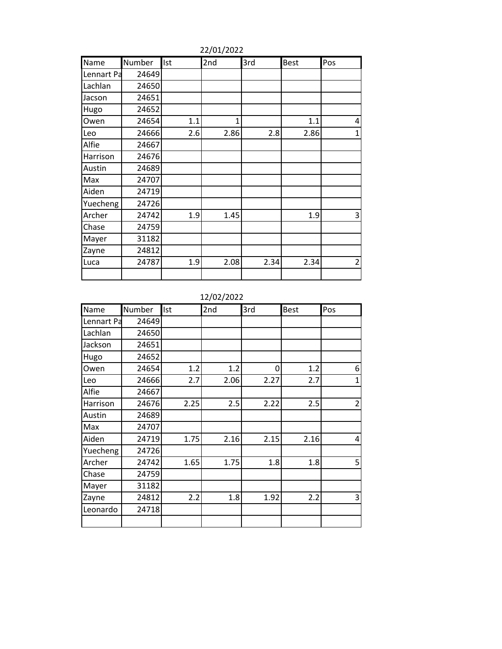| Name       | Number | Ist | 2nd  | 3rd  | <b>Best</b> | Pos            |
|------------|--------|-----|------|------|-------------|----------------|
| Lennart Pa | 24649  |     |      |      |             |                |
| Lachlan    | 24650  |     |      |      |             |                |
| Jacson     | 24651  |     |      |      |             |                |
| Hugo       | 24652  |     |      |      |             |                |
| Owen       | 24654  | 1.1 | 1    |      | 1.1         | 4              |
| Leo        | 24666  | 2.6 | 2.86 | 2.8  | 2.86        | $\mathbf{1}$   |
| Alfie      | 24667  |     |      |      |             |                |
| Harrison   | 24676  |     |      |      |             |                |
| Austin     | 24689  |     |      |      |             |                |
| Max        | 24707  |     |      |      |             |                |
| Aiden      | 24719  |     |      |      |             |                |
| Yuecheng   | 24726  |     |      |      |             |                |
| Archer     | 24742  | 1.9 | 1.45 |      | 1.9         | 3              |
| Chase      | 24759  |     |      |      |             |                |
| Mayer      | 31182  |     |      |      |             |                |
| Zayne      | 24812  |     |      |      |             |                |
| Luca       | 24787  | 1.9 | 2.08 | 2.34 | 2.34        | $\overline{2}$ |
|            |        |     |      |      |             |                |

22/01/2022

12/02/2022

| Name       | Number | Ist  | 2nd  | 3rd  | <b>Best</b> | Pos            |
|------------|--------|------|------|------|-------------|----------------|
| Lennart Pa | 24649  |      |      |      |             |                |
| Lachlan    | 24650  |      |      |      |             |                |
| Jackson    | 24651  |      |      |      |             |                |
| Hugo       | 24652  |      |      |      |             |                |
| Owen       | 24654  | 1.2  | 1.2  | 0    | 1.2         | 6              |
| Leo        | 24666  | 2.7  | 2.06 | 2.27 | 2.7         | $\mathbf{1}$   |
| Alfie      | 24667  |      |      |      |             |                |
| Harrison   | 24676  | 2.25 | 2.5  | 2.22 | 2.5         | $\overline{2}$ |
| Austin     | 24689  |      |      |      |             |                |
| Max        | 24707  |      |      |      |             |                |
| Aiden      | 24719  | 1.75 | 2.16 | 2.15 | 2.16        | 4              |
| Yuecheng   | 24726  |      |      |      |             |                |
| Archer     | 24742  | 1.65 | 1.75 | 1.8  | 1.8         | 5              |
| Chase      | 24759  |      |      |      |             |                |
| Mayer      | 31182  |      |      |      |             |                |
| Zayne      | 24812  | 2.2  | 1.8  | 1.92 | 2.2         | 3              |
| Leonardo   | 24718  |      |      |      |             |                |
|            |        |      |      |      |             |                |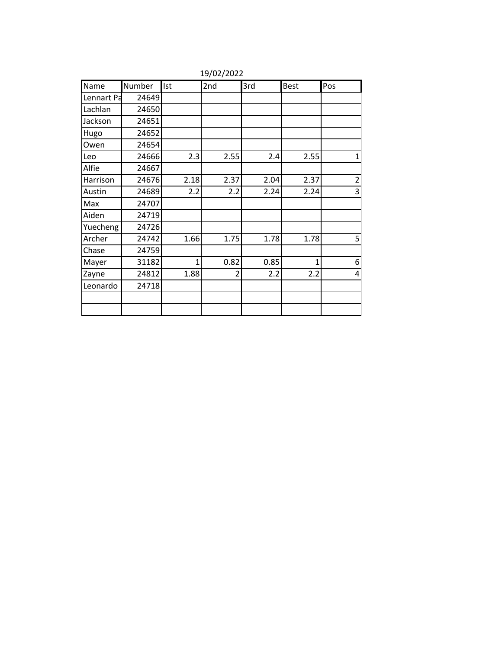| Name       | Number | Ist          | 2nd  | 3rd  | <b>Best</b>  | Pos            |
|------------|--------|--------------|------|------|--------------|----------------|
| Lennart Pa | 24649  |              |      |      |              |                |
| Lachlan    | 24650  |              |      |      |              |                |
| Jackson    | 24651  |              |      |      |              |                |
| Hugo       | 24652  |              |      |      |              |                |
| Owen       | 24654  |              |      |      |              |                |
| Leo        | 24666  | 2.3          | 2.55 | 2.4  | 2.55         | $\mathbf{1}$   |
| Alfie      | 24667  |              |      |      |              |                |
| Harrison   | 24676  | 2.18         | 2.37 | 2.04 | 2.37         | $\overline{2}$ |
| Austin     | 24689  | 2.2          | 2.2  | 2.24 | 2.24         | 3              |
| Max        | 24707  |              |      |      |              |                |
| Aiden      | 24719  |              |      |      |              |                |
| Yuecheng   | 24726  |              |      |      |              |                |
| Archer     | 24742  | 1.66         | 1.75 | 1.78 | 1.78         | 5              |
| Chase      | 24759  |              |      |      |              |                |
| Mayer      | 31182  | $\mathbf{1}$ | 0.82 | 0.85 | $\mathbf{1}$ | 6              |
| Zayne      | 24812  | 1.88         | 2    | 2.2  | 2.2          | 4              |
| Leonardo   | 24718  |              |      |      |              |                |
|            |        |              |      |      |              |                |
|            |        |              |      |      |              |                |

19/02/2022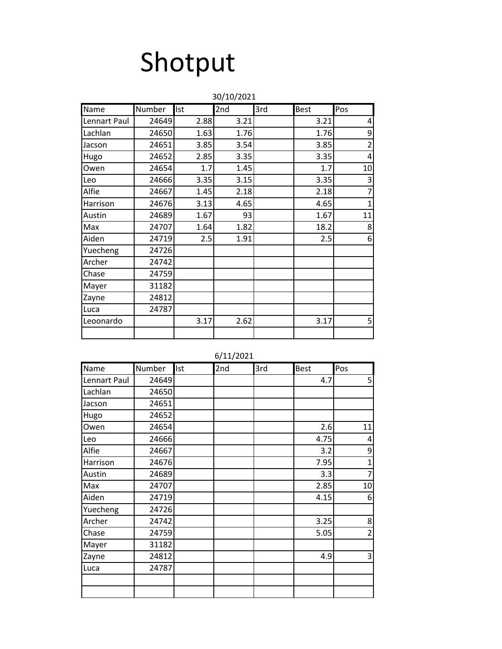# Shotput

|              |        |            | 30/10/2021 |     |             |                |
|--------------|--------|------------|------------|-----|-------------|----------------|
| Name         | Number | <b>Ist</b> | 2nd        | 3rd | <b>Best</b> | Pos            |
| Lennart Paul | 24649  | 2.88       | 3.21       |     | 3.21        | $\overline{4}$ |
| Lachlan      | 24650  | 1.63       | 1.76       |     | 1.76        | 9              |
| Jacson       | 24651  | 3.85       | 3.54       |     | 3.85        | $\overline{2}$ |
| Hugo         | 24652  | 2.85       | 3.35       |     | 3.35        | $\overline{4}$ |
| Owen         | 24654  | 1.7        | 1.45       |     | 1.7         | 10             |
| Leo          | 24666  | 3.35       | 3.15       |     | 3.35        | 3              |
| Alfie        | 24667  | 1.45       | 2.18       |     | 2.18        | $\overline{7}$ |
| Harrison     | 24676  | 3.13       | 4.65       |     | 4.65        | $\overline{1}$ |
| Austin       | 24689  | 1.67       | 93         |     | 1.67        | 11             |
| Max          | 24707  | 1.64       | 1.82       |     | 18.2        | 8              |
| Aiden        | 24719  | 2.5        | 1.91       |     | 2.5         | 6              |
| Yuecheng     | 24726  |            |            |     |             |                |
| Archer       | 24742  |            |            |     |             |                |
| Chase        | 24759  |            |            |     |             |                |
| Mayer        | 31182  |            |            |     |             |                |
| Zayne        | 24812  |            |            |     |             |                |
| Luca         | 24787  |            |            |     |             |                |
| Leoonardo    |        | 3.17       | 2.62       |     | 3.17        | 5              |
|              |        |            |            |     |             |                |

| 6/11/2021 |
|-----------|
|-----------|

| Name         | Number | <b>Ist</b> | 2nd | 3rd | <b>Best</b> | Pos            |
|--------------|--------|------------|-----|-----|-------------|----------------|
| Lennart Paul | 24649  |            |     |     | 4.7         | 5              |
| Lachlan      | 24650  |            |     |     |             |                |
| Jacson       | 24651  |            |     |     |             |                |
| Hugo         | 24652  |            |     |     |             |                |
| Owen         | 24654  |            |     |     | 2.6         | 11             |
| Leo          | 24666  |            |     |     | 4.75        | 4              |
| Alfie        | 24667  |            |     |     | 3.2         | 9              |
| Harrison     | 24676  |            |     |     | 7.95        | $\mathbf{1}$   |
| Austin       | 24689  |            |     |     | 3.3         | $\overline{7}$ |
| Max          | 24707  |            |     |     | 2.85        | 10             |
| Aiden        | 24719  |            |     |     | 4.15        | 6              |
| Yuecheng     | 24726  |            |     |     |             |                |
| Archer       | 24742  |            |     |     | 3.25        | $\bf 8$        |
| Chase        | 24759  |            |     |     | 5.05        | $\overline{2}$ |
| Mayer        | 31182  |            |     |     |             |                |
| Zayne        | 24812  |            |     |     | 4.9         | 3              |
| Luca         | 24787  |            |     |     |             |                |
|              |        |            |     |     |             |                |
|              |        |            |     |     |             |                |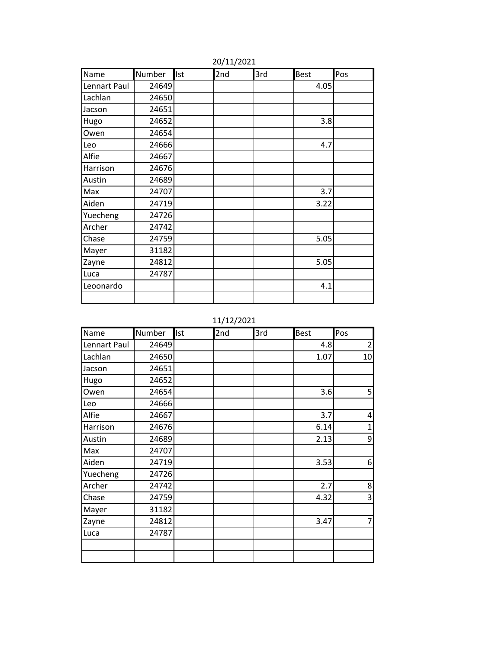| Name         | Number | <b>Ist</b> | 2nd | 3rd | <b>Best</b> | Pos |
|--------------|--------|------------|-----|-----|-------------|-----|
| Lennart Paul | 24649  |            |     |     | 4.05        |     |
| Lachlan      | 24650  |            |     |     |             |     |
| Jacson       | 24651  |            |     |     |             |     |
| Hugo         | 24652  |            |     |     | 3.8         |     |
| Owen         | 24654  |            |     |     |             |     |
| Leo          | 24666  |            |     |     | 4.7         |     |
| Alfie        | 24667  |            |     |     |             |     |
| Harrison     | 24676  |            |     |     |             |     |
| Austin       | 24689  |            |     |     |             |     |
| Max          | 24707  |            |     |     | 3.7         |     |
| Aiden        | 24719  |            |     |     | 3.22        |     |
| Yuecheng     | 24726  |            |     |     |             |     |
| Archer       | 24742  |            |     |     |             |     |
| Chase        | 24759  |            |     |     | 5.05        |     |
| Mayer        | 31182  |            |     |     |             |     |
| Zayne        | 24812  |            |     |     | 5.05        |     |
| Luca         | 24787  |            |     |     |             |     |
| Leoonardo    |        |            |     |     | 4.1         |     |
|              |        |            |     |     |             |     |

20/11/2021

11/12/2021

| Name         | Number | <b>Ist</b> | 2nd | 3rd | <b>Best</b> | Pos            |
|--------------|--------|------------|-----|-----|-------------|----------------|
| Lennart Paul | 24649  |            |     |     | 4.8         | $\overline{2}$ |
| Lachlan      | 24650  |            |     |     | 1.07        | 10             |
| Jacson       | 24651  |            |     |     |             |                |
| Hugo         | 24652  |            |     |     |             |                |
| Owen         | 24654  |            |     |     | 3.6         | 5              |
| Leo          | 24666  |            |     |     |             |                |
| Alfie        | 24667  |            |     |     | 3.7         | 4              |
| Harrison     | 24676  |            |     |     | 6.14        | 1              |
| Austin       | 24689  |            |     |     | 2.13        | 9              |
| Max          | 24707  |            |     |     |             |                |
| Aiden        | 24719  |            |     |     | 3.53        | 6              |
| Yuecheng     | 24726  |            |     |     |             |                |
| Archer       | 24742  |            |     |     | 2.7         | 8              |
| Chase        | 24759  |            |     |     | 4.32        | 3              |
| Mayer        | 31182  |            |     |     |             |                |
| Zayne        | 24812  |            |     |     | 3.47        | 7              |
| Luca         | 24787  |            |     |     |             |                |
|              |        |            |     |     |             |                |
|              |        |            |     |     |             |                |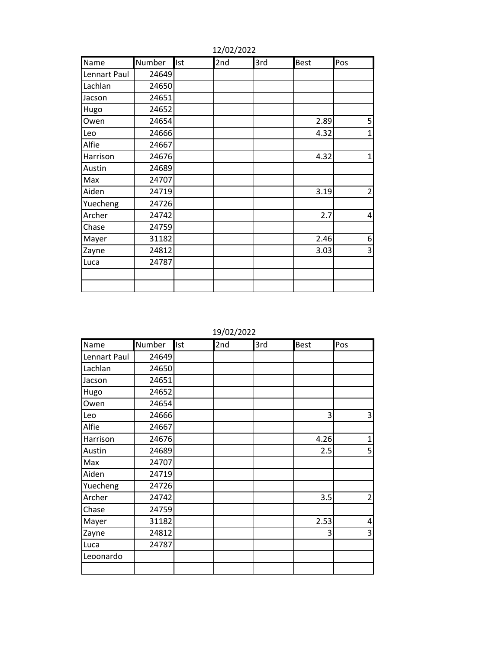| Name         | Number | Ist | 2nd | 3rd | <b>Best</b> | Pos            |
|--------------|--------|-----|-----|-----|-------------|----------------|
| Lennart Paul | 24649  |     |     |     |             |                |
| Lachlan      | 24650  |     |     |     |             |                |
| Jacson       | 24651  |     |     |     |             |                |
| Hugo         | 24652  |     |     |     |             |                |
| Owen         | 24654  |     |     |     | 2.89        | 5              |
| Leo          | 24666  |     |     |     | 4.32        | $\mathbf{1}$   |
| Alfie        | 24667  |     |     |     |             |                |
| Harrison     | 24676  |     |     |     | 4.32        | $\overline{1}$ |
| Austin       | 24689  |     |     |     |             |                |
| Max          | 24707  |     |     |     |             |                |
| Aiden        | 24719  |     |     |     | 3.19        | $\overline{2}$ |
| Yuecheng     | 24726  |     |     |     |             |                |
| Archer       | 24742  |     |     |     | 2.7         | 4              |
| Chase        | 24759  |     |     |     |             |                |
| Mayer        | 31182  |     |     |     | 2.46        | 6              |
| Zayne        | 24812  |     |     |     | 3.03        | 3              |
| Luca         | 24787  |     |     |     |             |                |
|              |        |     |     |     |             |                |
|              |        |     |     |     |             |                |

12/02/2022

19/02/2022

| Name         | Number | Ist | 2nd | 3rd | <b>Best</b> | Pos            |
|--------------|--------|-----|-----|-----|-------------|----------------|
| Lennart Paul | 24649  |     |     |     |             |                |
| Lachlan      | 24650  |     |     |     |             |                |
| Jacson       | 24651  |     |     |     |             |                |
| Hugo         | 24652  |     |     |     |             |                |
| Owen         | 24654  |     |     |     |             |                |
| Leo          | 24666  |     |     |     | 3           | 3              |
| Alfie        | 24667  |     |     |     |             |                |
| Harrison     | 24676  |     |     |     | 4.26        | 1              |
| Austin       | 24689  |     |     |     | 2.5         | 5              |
| Max          | 24707  |     |     |     |             |                |
| Aiden        | 24719  |     |     |     |             |                |
| Yuecheng     | 24726  |     |     |     |             |                |
| Archer       | 24742  |     |     |     | 3.5         | $\overline{2}$ |
| Chase        | 24759  |     |     |     |             |                |
| Mayer        | 31182  |     |     |     | 2.53        | 4              |
| Zayne        | 24812  |     |     |     | 3           | 3              |
| Luca         | 24787  |     |     |     |             |                |
| Leoonardo    |        |     |     |     |             |                |
|              |        |     |     |     |             |                |